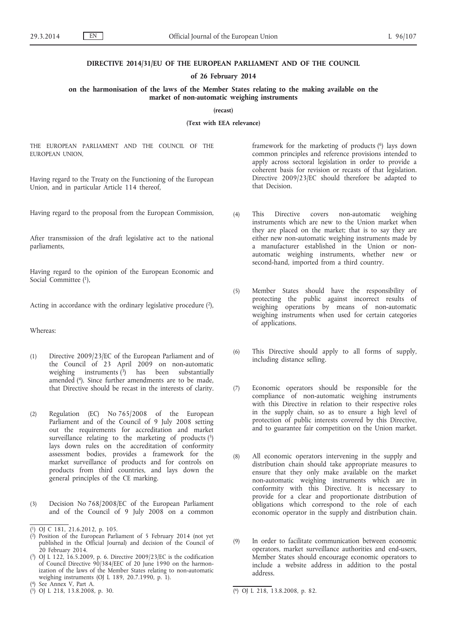#### **DIRECTIVE 2014/31/EU OF THE EUROPEAN PARLIAMENT AND OF THE COUNCIL**

#### **of 26 February 2014**

## **on the harmonisation of the laws of the Member States relating to the making available on the market of non-automatic weighing instruments**

**(recast)**

**(Text with EEA relevance)**

THE EUROPEAN PARLIAMENT AND THE COUNCIL OF THE EUROPEAN UNION,

Having regard to the Treaty on the Functioning of the European Union, and in particular Article 114 thereof,

Having regard to the proposal from the European Commission,

After transmission of the draft legislative act to the national parliaments,

Having regard to the opinion of the European Economic and Social Committee (1),

Acting in accordance with the ordinary legislative procedure  $(2)$ ,

Whereas:

- (1) Directive 2009/23/EC of the European Parliament and of the Council of 23 April 2009 on non-automatic weighing instruments (3) has been substantially amended (4). Since further amendments are to be made, that Directive should be recast in the interests of clarity.
- (2) Regulation (EC) No 765/2008 of the European Parliament and of the Council of 9 July 2008 setting out the requirements for accreditation and market surveillance relating to the marketing of products  $(5)$ lays down rules on the accreditation of conformity assessment bodies, provides a framework for the market surveillance of products and for controls on products from third countries, and lays down the general principles of the CE marking.
- (3) Decision No 768/2008/EC of the European Parliament and of the Council of 9 July 2008 on a common

framework for the marketing of products (6) lays down common principles and reference provisions intended to apply across sectoral legislation in order to provide a coherent basis for revision or recasts of that legislation. Directive 2009/23/EC should therefore be adapted to that Decision.

- (4) This Directive covers non-automatic weighing instruments which are new to the Union market when they are placed on the market; that is to say they are either new non-automatic weighing instruments made by a manufacturer established in the Union or nonautomatic weighing instruments, whether new or second-hand, imported from a third country.
- (5) Member States should have the responsibility of protecting the public against incorrect results of weighing operations by means of non-automatic weighing instruments when used for certain categories of applications.
- (6) This Directive should apply to all forms of supply, including distance selling.
- (7) Economic operators should be responsible for the compliance of non-automatic weighing instruments with this Directive in relation to their respective roles in the supply chain, so as to ensure a high level of protection of public interests covered by this Directive, and to guarantee fair competition on the Union market.
- (8) All economic operators intervening in the supply and distribution chain should take appropriate measures to ensure that they only make available on the market non-automatic weighing instruments which are in conformity with this Directive. It is necessary to provide for a clear and proportionate distribution of obligations which correspond to the role of each economic operator in the supply and distribution chain.
- (9) In order to facilitate communication between economic operators, market surveillance authorities and end-users, Member States should encourage economic operators to include a website address in addition to the postal address.

<sup>(</sup> 1) OJ C 181, 21.6.2012, p. 105.

<sup>(</sup> 2) Position of the European Parliament of 5 February 2014 (not yet published in the Official Journal) and decision of the Council of 20 February 2014.

<sup>(</sup> 3) OJ L 122, 16.5.2009, p. 6. Directive 2009/23/EC is the codification of Council Directive 90/384/EEC of 20 June 1990 on the harmonization of the laws of the Member States relating to non-automatic weighing instruments (OJ L 189, 20.7.1990, p. 1).

<sup>(</sup> 4) See Annex V, Part A.

 $(5)$  OJ L 218, 13.8.2008, p. 30.

 $\overline{^{(6)}}$  OJ L 218, 13.8.2008, p. 82.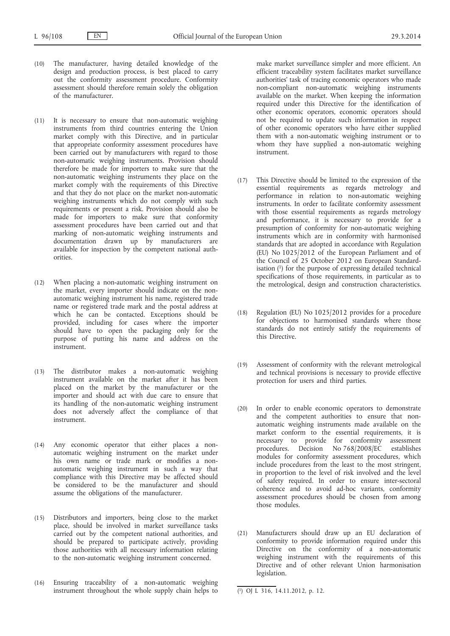- (10) The manufacturer, having detailed knowledge of the design and production process, is best placed to carry out the conformity assessment procedure. Conformity assessment should therefore remain solely the obligation of the manufacturer.
- (11) It is necessary to ensure that non-automatic weighing instruments from third countries entering the Union market comply with this Directive, and in particular that appropriate conformity assessment procedures have been carried out by manufacturers with regard to those non-automatic weighing instruments. Provision should therefore be made for importers to make sure that the non-automatic weighing instruments they place on the market comply with the requirements of this Directive and that they do not place on the market non-automatic weighing instruments which do not comply with such requirements or present a risk. Provision should also be made for importers to make sure that conformity assessment procedures have been carried out and that marking of non-automatic weighing instruments and documentation drawn up by manufacturers are available for inspection by the competent national authorities.
- (12) When placing a non-automatic weighing instrument on the market, every importer should indicate on the nonautomatic weighing instrument his name, registered trade name or registered trade mark and the postal address at which he can be contacted. Exceptions should be provided, including for cases where the importer should have to open the packaging only for the purpose of putting his name and address on the instrument.
- (13) The distributor makes a non-automatic weighing instrument available on the market after it has been placed on the market by the manufacturer or the importer and should act with due care to ensure that its handling of the non-automatic weighing instrument does not adversely affect the compliance of that instrument.
- (14) Any economic operator that either places a nonautomatic weighing instrument on the market under his own name or trade mark or modifies a nonautomatic weighing instrument in such a way that compliance with this Directive may be affected should be considered to be the manufacturer and should assume the obligations of the manufacturer.
- (15) Distributors and importers, being close to the market place, should be involved in market surveillance tasks carried out by the competent national authorities, and should be prepared to participate actively, providing those authorities with all necessary information relating to the non-automatic weighing instrument concerned.
- (16) Ensuring traceability of a non-automatic weighing instrument throughout the whole supply chain helps to

make market surveillance simpler and more efficient. An efficient traceability system facilitates market surveillance authorities' task of tracing economic operators who made non-compliant non-automatic weighing instruments available on the market. When keeping the information required under this Directive for the identification of other economic operators, economic operators should not be required to update such information in respect of other economic operators who have either supplied them with a non-automatic weighing instrument or to whom they have supplied a non-automatic weighing instrument.

- (17) This Directive should be limited to the expression of the essential requirements as regards metrology and performance in relation to non-automatic weighing instruments. In order to facilitate conformity assessment with those essential requirements as regards metrology and performance, it is necessary to provide for a presumption of conformity for non-automatic weighing instruments which are in conformity with harmonised standards that are adopted in accordance with Regulation (EU) No 1025/2012 of the European Parliament and of the Council of 25 October 2012 on European Standardisation (1) for the purpose of expressing detailed technical specifications of those requirements, in particular as to the metrological, design and construction characteristics.
- (18) Regulation (EU) No 1025/2012 provides for a procedure for objections to harmonised standards where those standards do not entirely satisfy the requirements of this Directive.
- (19) Assessment of conformity with the relevant metrological and technical provisions is necessary to provide effective protection for users and third parties.
- (20) In order to enable economic operators to demonstrate and the competent authorities to ensure that nonautomatic weighing instruments made available on the market conform to the essential requirements, it is necessary to provide for conformity assessment procedures. Decision No 768/2008/EC establishes modules for conformity assessment procedures, which include procedures from the least to the most stringent, in proportion to the level of risk involved and the level of safety required. In order to ensure inter-sectoral coherence and to avoid ad-hoc variants, conformity assessment procedures should be chosen from among those modules.
- (21) Manufacturers should draw up an EU declaration of conformity to provide information required under this Directive on the conformity of a non-automatic weighing instrument with the requirements of this Directive and of other relevant Union harmonisation legislation.

<sup>(</sup> 1) OJ L 316, 14.11.2012, p. 12.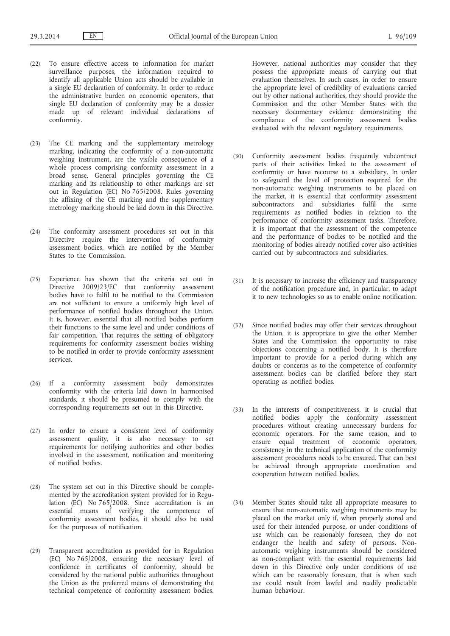- (22) To ensure effective access to information for market surveillance purposes, the information required to identify all applicable Union acts should be available in a single EU declaration of conformity. In order to reduce the administrative burden on economic operators, that single EU declaration of conformity may be a dossier made up of relevant individual declarations of conformity.
- (23) The CE marking and the supplementary metrology marking, indicating the conformity of a non-automatic weighing instrument, are the visible consequence of a whole process comprising conformity assessment in a broad sense. General principles governing the CE marking and its relationship to other markings are set out in Regulation (EC) No 765/2008. Rules governing the affixing of the CE marking and the supplementary metrology marking should be laid down in this Directive.
- (24) The conformity assessment procedures set out in this Directive require the intervention of conformity assessment bodies, which are notified by the Member States to the Commission.
- (25) Experience has shown that the criteria set out in Directive 2009/23/EC that conformity assessment bodies have to fulfil to be notified to the Commission are not sufficient to ensure a uniformly high level of performance of notified bodies throughout the Union. It is, however, essential that all notified bodies perform their functions to the same level and under conditions of fair competition. That requires the setting of obligatory requirements for conformity assessment bodies wishing to be notified in order to provide conformity assessment services.
- (26) If a conformity assessment body demonstrates conformity with the criteria laid down in harmonised standards, it should be presumed to comply with the corresponding requirements set out in this Directive.
- (27) In order to ensure a consistent level of conformity assessment quality, it is also necessary to set requirements for notifying authorities and other bodies involved in the assessment, notification and monitoring of notified bodies.
- (28) The system set out in this Directive should be complemented by the accreditation system provided for in Regulation (EC) No 765/2008. Since accreditation is an essential means of verifying the competence of conformity assessment bodies, it should also be used for the purposes of notification.
- (29) Transparent accreditation as provided for in Regulation (EC) No 765/2008, ensuring the necessary level of confidence in certificates of conformity, should be considered by the national public authorities throughout the Union as the preferred means of demonstrating the technical competence of conformity assessment bodies.

However, national authorities may consider that they possess the appropriate means of carrying out that evaluation themselves. In such cases, in order to ensure the appropriate level of credibility of evaluations carried out by other national authorities, they should provide the Commission and the other Member States with the necessary documentary evidence demonstrating the compliance of the conformity assessment bodies evaluated with the relevant regulatory requirements.

- (30) Conformity assessment bodies frequently subcontract parts of their activities linked to the assessment of conformity or have recourse to a subsidiary. In order to safeguard the level of protection required for the non-automatic weighing instruments to be placed on the market, it is essential that conformity assessment subcontractors and subsidiaries fulfil the same requirements as notified bodies in relation to the performance of conformity assessment tasks. Therefore, it is important that the assessment of the competence and the performance of bodies to be notified and the monitoring of bodies already notified cover also activities carried out by subcontractors and subsidiaries.
- (31) It is necessary to increase the efficiency and transparency of the notification procedure and, in particular, to adapt it to new technologies so as to enable online notification.
- (32) Since notified bodies may offer their services throughout the Union, it is appropriate to give the other Member States and the Commission the opportunity to raise objections concerning a notified body. It is therefore important to provide for a period during which any doubts or concerns as to the competence of conformity assessment bodies can be clarified before they start operating as notified bodies.
- (33) In the interests of competitiveness, it is crucial that notified bodies apply the conformity assessment procedures without creating unnecessary burdens for economic operators. For the same reason, and to ensure equal treatment of economic operators, consistency in the technical application of the conformity assessment procedures needs to be ensured. That can best be achieved through appropriate coordination and cooperation between notified bodies.
- (34) Member States should take all appropriate measures to ensure that non-automatic weighing instruments may be placed on the market only if, when properly stored and used for their intended purpose, or under conditions of use which can be reasonably foreseen, they do not endanger the health and safety of persons. Nonautomatic weighing instruments should be considered as non-compliant with the essential requirements laid down in this Directive only under conditions of use which can be reasonably foreseen, that is when such use could result from lawful and readily predictable human behaviour.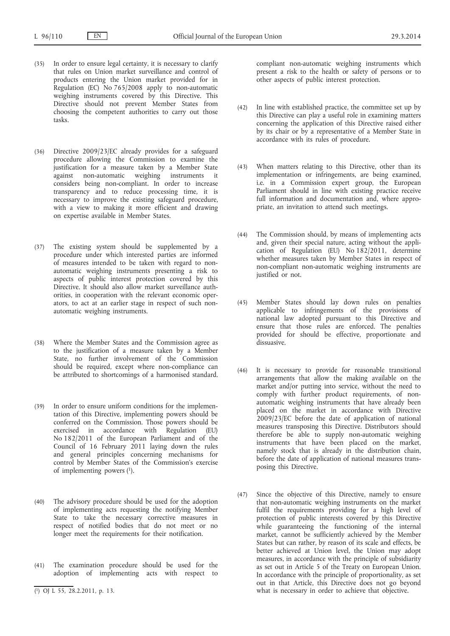- (35) In order to ensure legal certainty, it is necessary to clarify that rules on Union market surveillance and control of products entering the Union market provided for in Regulation (EC) No 765/2008 apply to non-automatic weighing instruments covered by this Directive. This Directive should not prevent Member States from choosing the competent authorities to carry out those tasks.
- (36) Directive 2009/23/EC already provides for a safeguard procedure allowing the Commission to examine the justification for a measure taken by a Member State against non-automatic weighing instruments it considers being non-compliant. In order to increase transparency and to reduce processing time, it is necessary to improve the existing safeguard procedure, with a view to making it more efficient and drawing on expertise available in Member States.
- (37) The existing system should be supplemented by a procedure under which interested parties are informed of measures intended to be taken with regard to nonautomatic weighing instruments presenting a risk to aspects of public interest protection covered by this Directive. It should also allow market surveillance authorities, in cooperation with the relevant economic operators, to act at an earlier stage in respect of such nonautomatic weighing instruments.
- (38) Where the Member States and the Commission agree as to the justification of a measure taken by a Member State, no further involvement of the Commission should be required, except where non-compliance can be attributed to shortcomings of a harmonised standard.
- (39) In order to ensure uniform conditions for the implementation of this Directive, implementing powers should be conferred on the Commission. Those powers should be exercised in accordance with Regulation (EU) No 182/2011 of the European Parliament and of the Council of 16 February 2011 laying down the rules and general principles concerning mechanisms for control by Member States of the Commission's exercise of implementing powers  $(1)$ .
- (40) The advisory procedure should be used for the adoption of implementing acts requesting the notifying Member State to take the necessary corrective measures in respect of notified bodies that do not meet or no longer meet the requirements for their notification.
- (41) The examination procedure should be used for the adoption of implementing acts with respect to

compliant non-automatic weighing instruments which present a risk to the health or safety of persons or to other aspects of public interest protection.

- (42) In line with established practice, the committee set up by this Directive can play a useful role in examining matters concerning the application of this Directive raised either by its chair or by a representative of a Member State in accordance with its rules of procedure.
- (43) When matters relating to this Directive, other than its implementation or infringements, are being examined, i.e. in a Commission expert group, the European Parliament should in line with existing practice receive full information and documentation and, where appropriate, an invitation to attend such meetings.
- (44) The Commission should, by means of implementing acts and, given their special nature, acting without the application of Regulation (EU) No 182/2011, determine whether measures taken by Member States in respect of non-compliant non-automatic weighing instruments are justified or not.
- (45) Member States should lay down rules on penalties applicable to infringements of the provisions of national law adopted pursuant to this Directive and ensure that those rules are enforced. The penalties provided for should be effective, proportionate and dissuasive.
- (46) It is necessary to provide for reasonable transitional arrangements that allow the making available on the market and/or putting into service, without the need to comply with further product requirements, of nonautomatic weighing instruments that have already been placed on the market in accordance with Directive 2009/23/EC before the date of application of national measures transposing this Directive. Distributors should therefore be able to supply non-automatic weighing instruments that have been placed on the market, namely stock that is already in the distribution chain, before the date of application of national measures transposing this Directive.
- (47) Since the objective of this Directive, namely to ensure that non-automatic weighing instruments on the market fulfil the requirements providing for a high level of protection of public interests covered by this Directive while guaranteeing the functioning of the internal market, cannot be sufficiently achieved by the Member States but can rather, by reason of its scale and effects, be better achieved at Union level, the Union may adopt measures, in accordance with the principle of subsidiarity as set out in Article 5 of the Treaty on European Union. In accordance with the principle of proportionality, as set out in that Article, this Directive does not go beyond what is necessary in order to achieve that objective.

<sup>(</sup> 1) OJ L 55, 28.2.2011, p. 13.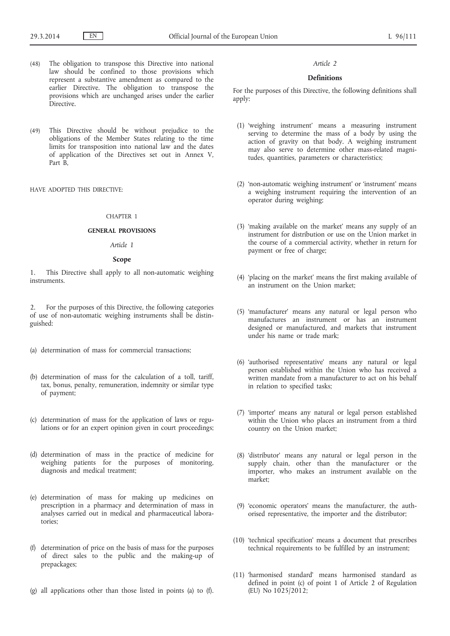- (48) The obligation to transpose this Directive into national law should be confined to those provisions which represent a substantive amendment as compared to the earlier Directive. The obligation to transpose the provisions which are unchanged arises under the earlier Directive.
- (49) This Directive should be without prejudice to the obligations of the Member States relating to the time limits for transposition into national law and the dates of application of the Directives set out in Annex V, Part B,

HAVE ADOPTED THIS DIRECTIVE:

### CHAPTER 1

#### **GENERAL PROVISIONS**

# *Article 1*

## **Scope**

1. This Directive shall apply to all non-automatic weighing instruments.

2. For the purposes of this Directive, the following categories of use of non-automatic weighing instruments shall be distinguished:

- (a) determination of mass for commercial transactions;
- (b) determination of mass for the calculation of a toll, tariff, tax, bonus, penalty, remuneration, indemnity or similar type of payment;
- (c) determination of mass for the application of laws or regulations or for an expert opinion given in court proceedings;
- (d) determination of mass in the practice of medicine for weighing patients for the purposes of monitoring, diagnosis and medical treatment;
- (e) determination of mass for making up medicines on prescription in a pharmacy and determination of mass in analyses carried out in medical and pharmaceutical laboratories;
- (f) determination of price on the basis of mass for the purposes of direct sales to the public and the making-up of prepackages;
- (g) all applications other than those listed in points (a) to (f).

#### *Article 2*

## **Definitions**

For the purposes of this Directive, the following definitions shall apply:

- (1) 'weighing instrument' means a measuring instrument serving to determine the mass of a body by using the action of gravity on that body. A weighing instrument may also serve to determine other mass-related magnitudes, quantities, parameters or characteristics;
- (2) 'non-automatic weighing instrument' or 'instrument' means a weighing instrument requiring the intervention of an operator during weighing;
- (3) 'making available on the market' means any supply of an instrument for distribution or use on the Union market in the course of a commercial activity, whether in return for payment or free of charge;
- (4) 'placing on the market' means the first making available of an instrument on the Union market;
- (5) 'manufacturer' means any natural or legal person who manufactures an instrument or has an instrument designed or manufactured, and markets that instrument under his name or trade mark;
- (6) 'authorised representative' means any natural or legal person established within the Union who has received a written mandate from a manufacturer to act on his behalf in relation to specified tasks;
- (7) 'importer' means any natural or legal person established within the Union who places an instrument from a third country on the Union market;
- (8) 'distributor' means any natural or legal person in the supply chain, other than the manufacturer or the importer, who makes an instrument available on the market;
- (9) 'economic operators' means the manufacturer, the authorised representative, the importer and the distributor;
- (10) 'technical specification' means a document that prescribes technical requirements to be fulfilled by an instrument;
- (11) 'harmonised standard' means harmonised standard as defined in point (c) of point 1 of Article 2 of Regulation (EU) No 1025/2012;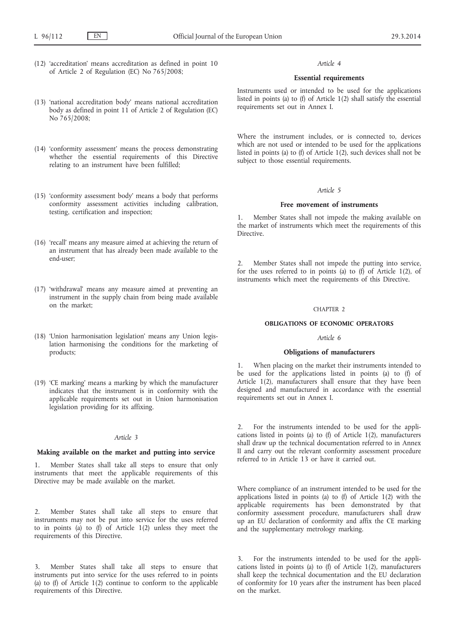(12) 'accreditation' means accreditation as defined in point 10 of Article 2 of Regulation (EC) No 765/2008;

## (13) 'national accreditation body' means national accreditation body as defined in point 11 of Article 2 of Regulation (EC) No 765/2008;

- (14) 'conformity assessment' means the process demonstrating whether the essential requirements of this Directive relating to an instrument have been fulfilled;
- (15) 'conformity assessment body' means a body that performs conformity assessment activities including calibration, testing, certification and inspection;
- (16) 'recall' means any measure aimed at achieving the return of an instrument that has already been made available to the end-user;
- (17) 'withdrawal' means any measure aimed at preventing an instrument in the supply chain from being made available on the market;
- (18) 'Union harmonisation legislation' means any Union legislation harmonising the conditions for the marketing of products;
- (19) 'CE marking' means a marking by which the manufacturer indicates that the instrument is in conformity with the applicable requirements set out in Union harmonisation legislation providing for its affixing.

### *Article 3*

### **Making available on the market and putting into service**

1. Member States shall take all steps to ensure that only instruments that meet the applicable requirements of this Directive may be made available on the market.

2. Member States shall take all steps to ensure that instruments may not be put into service for the uses referred to in points (a) to (f) of Article 1(2) unless they meet the requirements of this Directive.

3. Member States shall take all steps to ensure that instruments put into service for the uses referred to in points (a) to (f) of Article 1(2) continue to conform to the applicable requirements of this Directive.

## *Article 4*

### **Essential requirements**

Instruments used or intended to be used for the applications listed in points (a) to (f) of Article 1(2) shall satisfy the essential requirements set out in Annex I.

Where the instrument includes, or is connected to, devices which are not used or intended to be used for the applications listed in points (a) to (f) of Article 1(2), such devices shall not be subject to those essential requirements.

## *Article 5*

## **Free movement of instruments**

1. Member States shall not impede the making available on the market of instruments which meet the requirements of this Directive.

2. Member States shall not impede the putting into service, for the uses referred to in points (a) to  $(f)$  of Article 1(2), of instruments which meet the requirements of this Directive.

### CHAPTER 2

#### **OBLIGATIONS OF ECONOMIC OPERATORS**

## *Article 6*

## **Obligations of manufacturers**

1. When placing on the market their instruments intended to be used for the applications listed in points (a) to (f) of Article 1(2), manufacturers shall ensure that they have been designed and manufactured in accordance with the essential requirements set out in Annex I.

2. For the instruments intended to be used for the applications listed in points (a) to (f) of Article 1(2), manufacturers shall draw up the technical documentation referred to in Annex II and carry out the relevant conformity assessment procedure referred to in Article 13 or have it carried out.

Where compliance of an instrument intended to be used for the applications listed in points (a) to (f) of Article 1(2) with the applicable requirements has been demonstrated by that conformity assessment procedure, manufacturers shall draw up an EU declaration of conformity and affix the CE marking and the supplementary metrology marking.

For the instruments intended to be used for the applications listed in points (a) to (f) of Article 1(2), manufacturers shall keep the technical documentation and the EU declaration of conformity for 10 years after the instrument has been placed on the market.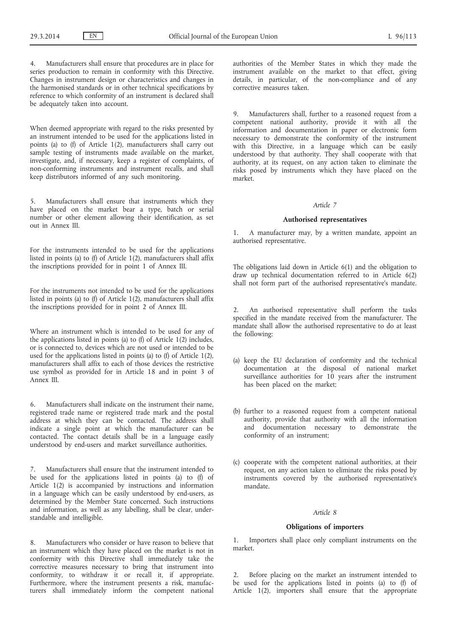Manufacturers shall ensure that procedures are in place for series production to remain in conformity with this Directive. Changes in instrument design or characteristics and changes in the harmonised standards or in other technical specifications by reference to which conformity of an instrument is declared shall be adequately taken into account.

When deemed appropriate with regard to the risks presented by an instrument intended to be used for the applications listed in points (a) to (f) of Article 1(2), manufacturers shall carry out sample testing of instruments made available on the market, investigate, and, if necessary, keep a register of complaints, of non-conforming instruments and instrument recalls, and shall keep distributors informed of any such monitoring.

5. Manufacturers shall ensure that instruments which they have placed on the market bear a type, batch or serial number or other element allowing their identification, as set out in Annex III.

For the instruments intended to be used for the applications listed in points (a) to (f) of Article 1(2), manufacturers shall affix the inscriptions provided for in point 1 of Annex III.

For the instruments not intended to be used for the applications listed in points (a) to (f) of Article 1(2), manufacturers shall affix the inscriptions provided for in point 2 of Annex III.

Where an instrument which is intended to be used for any of the applications listed in points (a) to (f) of Article 1(2) includes, or is connected to, devices which are not used or intended to be used for the applications listed in points (a) to (f) of Article 1(2), manufacturers shall affix to each of those devices the restrictive use symbol as provided for in Article 18 and in point 3 of Annex III.

6. Manufacturers shall indicate on the instrument their name, registered trade name or registered trade mark and the postal address at which they can be contacted. The address shall indicate a single point at which the manufacturer can be contacted. The contact details shall be in a language easily understood by end-users and market surveillance authorities.

7. Manufacturers shall ensure that the instrument intended to be used for the applications listed in points (a) to (f) of Article 1(2) is accompanied by instructions and information in a language which can be easily understood by end-users, as determined by the Member State concerned. Such instructions and information, as well as any labelling, shall be clear, understandable and intelligible.

8. Manufacturers who consider or have reason to believe that an instrument which they have placed on the market is not in conformity with this Directive shall immediately take the corrective measures necessary to bring that instrument into conformity, to withdraw it or recall it, if appropriate. Furthermore, where the instrument presents a risk, manufacturers shall immediately inform the competent national

authorities of the Member States in which they made the instrument available on the market to that effect, giving details, in particular, of the non-compliance and of any corrective measures taken.

Manufacturers shall, further to a reasoned request from a competent national authority, provide it with all the information and documentation in paper or electronic form necessary to demonstrate the conformity of the instrument with this Directive, in a language which can be easily understood by that authority. They shall cooperate with that authority, at its request, on any action taken to eliminate the risks posed by instruments which they have placed on the market.

#### *Article 7*

#### **Authorised representatives**

1. A manufacturer may, by a written mandate, appoint an authorised representative.

The obligations laid down in Article 6(1) and the obligation to draw up technical documentation referred to in Article 6(2) shall not form part of the authorised representative's mandate.

2. An authorised representative shall perform the tasks specified in the mandate received from the manufacturer. The mandate shall allow the authorised representative to do at least the following:

- (a) keep the EU declaration of conformity and the technical documentation at the disposal of national market surveillance authorities for  $10$  years after the instrument has been placed on the market;
- (b) further to a reasoned request from a competent national authority, provide that authority with all the information and documentation necessary to demonstrate the conformity of an instrument;
- (c) cooperate with the competent national authorities, at their request, on any action taken to eliminate the risks posed by instruments covered by the authorised representative's mandate.

#### *Article 8*

### **Obligations of importers**

1. Importers shall place only compliant instruments on the market.

2. Before placing on the market an instrument intended to be used for the applications listed in points (a) to (f) of Article  $1(2)$ , importers shall ensure that the appropriate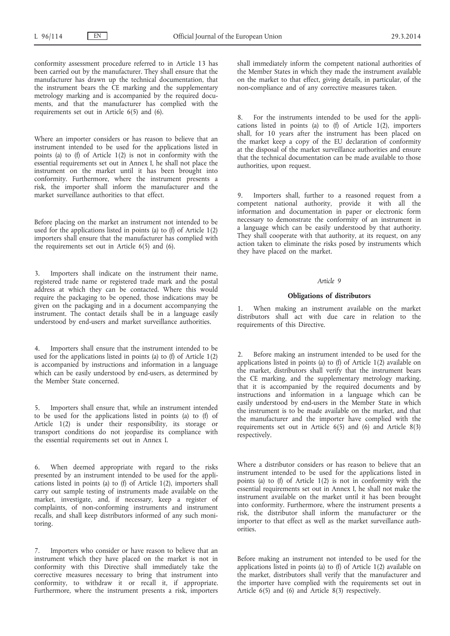conformity assessment procedure referred to in Article 13 has been carried out by the manufacturer. They shall ensure that the manufacturer has drawn up the technical documentation, that the instrument bears the CE marking and the supplementary metrology marking and is accompanied by the required documents, and that the manufacturer has complied with the requirements set out in Article 6(5) and (6).

Where an importer considers or has reason to believe that an instrument intended to be used for the applications listed in points (a) to (f) of Article 1(2) is not in conformity with the essential requirements set out in Annex I, he shall not place the instrument on the market until it has been brought into conformity. Furthermore, where the instrument presents a risk, the importer shall inform the manufacturer and the market surveillance authorities to that effect.

Before placing on the market an instrument not intended to be used for the applications listed in points (a) to (f) of Article 1(2) importers shall ensure that the manufacturer has complied with the requirements set out in Article 6(5) and (6).

Importers shall indicate on the instrument their name, registered trade name or registered trade mark and the postal address at which they can be contacted. Where this would require the packaging to be opened, those indications may be given on the packaging and in a document accompanying the instrument. The contact details shall be in a language easily understood by end-users and market surveillance authorities.

4. Importers shall ensure that the instrument intended to be used for the applications listed in points (a) to (f) of Article 1(2) is accompanied by instructions and information in a language which can be easily understood by end-users, as determined by the Member State concerned.

5. Importers shall ensure that, while an instrument intended to be used for the applications listed in points (a) to (f) of Article 1(2) is under their responsibility, its storage or transport conditions do not jeopardise its compliance with the essential requirements set out in Annex I.

6. When deemed appropriate with regard to the risks presented by an instrument intended to be used for the applications listed in points (a) to (f) of Article 1(2), importers shall carry out sample testing of instruments made available on the market, investigate, and, if necessary, keep a register of complaints, of non-conforming instruments and instrument recalls, and shall keep distributors informed of any such monitoring.

Importers who consider or have reason to believe that an instrument which they have placed on the market is not in conformity with this Directive shall immediately take the corrective measures necessary to bring that instrument into conformity, to withdraw it or recall it, if appropriate. Furthermore, where the instrument presents a risk, importers shall immediately inform the competent national authorities of the Member States in which they made the instrument available on the market to that effect, giving details, in particular, of the non-compliance and of any corrective measures taken.

8. For the instruments intended to be used for the applications listed in points (a) to (f) of Article 1(2), importers shall, for 10 years after the instrument has been placed on the market keep a copy of the EU declaration of conformity at the disposal of the market surveillance authorities and ensure that the technical documentation can be made available to those authorities, upon request.

9. Importers shall, further to a reasoned request from a competent national authority, provide it with all the information and documentation in paper or electronic form necessary to demonstrate the conformity of an instrument in a language which can be easily understood by that authority. They shall cooperate with that authority, at its request, on any action taken to eliminate the risks posed by instruments which they have placed on the market.

#### *Article 9*

## **Obligations of distributors**

When making an instrument available on the market distributors shall act with due care in relation to the requirements of this Directive.

2. Before making an instrument intended to be used for the applications listed in points (a) to (f) of Article 1(2) available on the market, distributors shall verify that the instrument bears the CE marking, and the supplementary metrology marking, that it is accompanied by the required documents and by instructions and information in a language which can be easily understood by end-users in the Member State in which the instrument is to be made available on the market, and that the manufacturer and the importer have complied with the requirements set out in Article 6(5) and (6) and Article 8(3) respectively.

Where a distributor considers or has reason to believe that an instrument intended to be used for the applications listed in points (a) to (f) of Article 1(2) is not in conformity with the essential requirements set out in Annex I, he shall not make the instrument available on the market until it has been brought into conformity. Furthermore, where the instrument presents a risk, the distributor shall inform the manufacturer or the importer to that effect as well as the market surveillance authorities.

Before making an instrument not intended to be used for the applications listed in points (a) to (f) of Article 1(2) available on the market, distributors shall verify that the manufacturer and the importer have complied with the requirements set out in Article 6(5) and (6) and Article 8(3) respectively.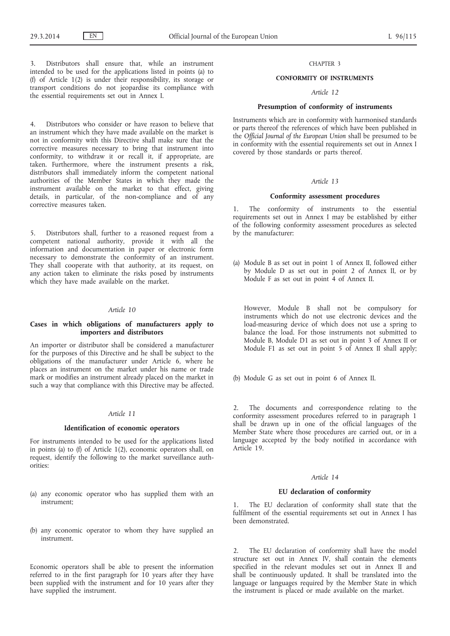Distributors shall ensure that, while an instrument intended to be used for the applications listed in points (a) to (f) of Article 1(2) is under their responsibility, its storage or transport conditions do not jeopardise its compliance with the essential requirements set out in Annex I.

4. Distributors who consider or have reason to believe that an instrument which they have made available on the market is not in conformity with this Directive shall make sure that the corrective measures necessary to bring that instrument into conformity, to withdraw it or recall it, if appropriate, are taken. Furthermore, where the instrument presents a risk, distributors shall immediately inform the competent national authorities of the Member States in which they made the instrument available on the market to that effect, giving details, in particular, of the non-compliance and of any corrective measures taken.

5. Distributors shall, further to a reasoned request from a competent national authority, provide it with all the information and documentation in paper or electronic form necessary to demonstrate the conformity of an instrument. They shall cooperate with that authority, at its request, on any action taken to eliminate the risks posed by instruments which they have made available on the market.

## *Article 10*

## **Cases in which obligations of manufacturers apply to importers and distributors**

An importer or distributor shall be considered a manufacturer for the purposes of this Directive and he shall be subject to the obligations of the manufacturer under Article 6, where he places an instrument on the market under his name or trade mark or modifies an instrument already placed on the market in such a way that compliance with this Directive may be affected.

#### *Article 11*

#### **Identification of economic operators**

For instruments intended to be used for the applications listed in points (a) to (f) of Article 1(2), economic operators shall, on request, identify the following to the market surveillance authorities:

- (a) any economic operator who has supplied them with an instrument;
- (b) any economic operator to whom they have supplied an instrument.

Economic operators shall be able to present the information referred to in the first paragraph for  $10$  years after they have been supplied with the instrument and for 10 years after they have supplied the instrument.

### CHAPTER 3

## **CONFORMITY OF INSTRUMENTS**

### *Article 12*

## **Presumption of conformity of instruments**

Instruments which are in conformity with harmonised standards or parts thereof the references of which have been published in the *Official Journal of the European Union* shall be presumed to be in conformity with the essential requirements set out in Annex I covered by those standards or parts thereof.

### *Article 13*

### **Conformity assessment procedures**

1. The conformity of instruments to the essential requirements set out in Annex I may be established by either of the following conformity assessment procedures as selected by the manufacturer:

(a) Module B as set out in point 1 of Annex II, followed either by Module D as set out in point 2 of Annex II, or by Module F as set out in point 4 of Annex II.

However, Module B shall not be compulsory for instruments which do not use electronic devices and the load-measuring device of which does not use a spring to balance the load. For those instruments not submitted to Module B, Module D1 as set out in point 3 of Annex II or Module F1 as set out in point 5 of Annex II shall apply;

(b) Module G as set out in point 6 of Annex II.

2. The documents and correspondence relating to the conformity assessment procedures referred to in paragraph 1 shall be drawn up in one of the official languages of the Member State where those procedures are carried out, or in a language accepted by the body notified in accordance with Article 19.

#### *Article 14*

## **EU declaration of conformity**

1. The EU declaration of conformity shall state that the fulfilment of the essential requirements set out in Annex I has been demonstrated.

2. The EU declaration of conformity shall have the model structure set out in Annex IV, shall contain the elements specified in the relevant modules set out in Annex II and shall be continuously updated. It shall be translated into the language or languages required by the Member State in which the instrument is placed or made available on the market.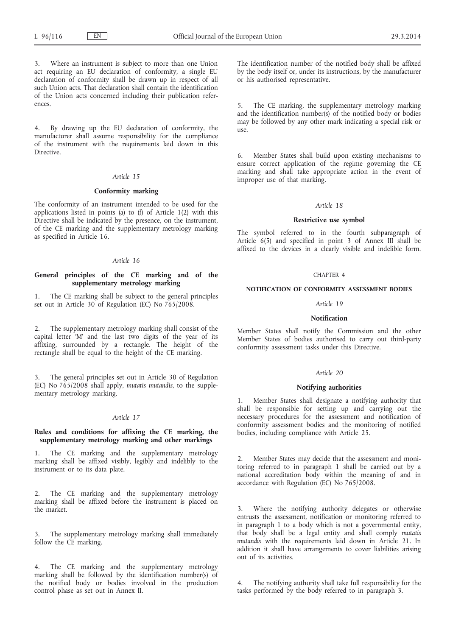Where an instrument is subject to more than one Union act requiring an EU declaration of conformity, a single EU declaration of conformity shall be drawn up in respect of all such Union acts. That declaration shall contain the identification of the Union acts concerned including their publication references.

4. By drawing up the EU declaration of conformity, the manufacturer shall assume responsibility for the compliance of the instrument with the requirements laid down in this Directive.

### *Article 15*

### **Conformity marking**

The conformity of an instrument intended to be used for the applications listed in points (a) to (f) of Article 1(2) with this Directive shall be indicated by the presence, on the instrument, of the CE marking and the supplementary metrology marking as specified in Article 16.

### *Article 16*

## **General principles of the CE marking and of the supplementary metrology marking**

1. The CE marking shall be subject to the general principles set out in Article 30 of Regulation (EC) No 765/2008.

2. The supplementary metrology marking shall consist of the capital letter 'M' and the last two digits of the year of its affixing, surrounded by a rectangle. The height of the rectangle shall be equal to the height of the CE marking.

The general principles set out in Article 30 of Regulation (EC) No 765/2008 shall apply, *mutatis mutandis*, to the supplementary metrology marking.

### *Article 17*

## **Rules and conditions for affixing the CE marking, the supplementary metrology marking and other markings**

The CE marking and the supplementary metrology marking shall be affixed visibly, legibly and indelibly to the instrument or to its data plate.

2. The CE marking and the supplementary metrology marking shall be affixed before the instrument is placed on the market.

3. The supplementary metrology marking shall immediately follow the CE marking.

4. The CE marking and the supplementary metrology marking shall be followed by the identification number(s) of the notified body or bodies involved in the production control phase as set out in Annex II.

The identification number of the notified body shall be affixed by the body itself or, under its instructions, by the manufacturer or his authorised representative.

The CE marking, the supplementary metrology marking and the identification number(s) of the notified body or bodies may be followed by any other mark indicating a special risk or use.

6. Member States shall build upon existing mechanisms to ensure correct application of the regime governing the CE marking and shall take appropriate action in the event of improper use of that marking.

#### *Article 18*

### **Restrictive use symbol**

The symbol referred to in the fourth subparagraph of Article 6(5) and specified in point 3 of Annex III shall be affixed to the devices in a clearly visible and indelible form.

#### CHAPTER 4

#### **NOTIFICATION OF CONFORMITY ASSESSMENT BODIES**

#### *Article 19*

### **Notification**

Member States shall notify the Commission and the other Member States of bodies authorised to carry out third-party conformity assessment tasks under this Directive.

#### *Article 20*

### **Notifying authorities**

Member States shall designate a notifying authority that shall be responsible for setting up and carrying out the necessary procedures for the assessment and notification of conformity assessment bodies and the monitoring of notified bodies, including compliance with Article 25.

2. Member States may decide that the assessment and monitoring referred to in paragraph 1 shall be carried out by a national accreditation body within the meaning of and in accordance with Regulation (EC) No 765/2008.

3. Where the notifying authority delegates or otherwise entrusts the assessment, notification or monitoring referred to in paragraph 1 to a body which is not a governmental entity, that body shall be a legal entity and shall comply *mutatis mutandis* with the requirements laid down in Article 21. In addition it shall have arrangements to cover liabilities arising out of its activities.

The notifying authority shall take full responsibility for the tasks performed by the body referred to in paragraph 3.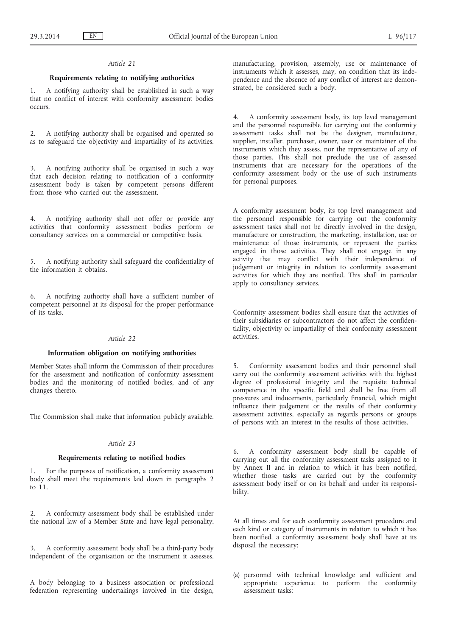## *Article 21*

## **Requirements relating to notifying authorities**

1. A notifying authority shall be established in such a way that no conflict of interest with conformity assessment bodies occurs.

2. A notifying authority shall be organised and operated so as to safeguard the objectivity and impartiality of its activities.

3. A notifying authority shall be organised in such a way that each decision relating to notification of a conformity assessment body is taken by competent persons different from those who carried out the assessment.

4. A notifying authority shall not offer or provide any activities that conformity assessment bodies perform or consultancy services on a commercial or competitive basis.

5. A notifying authority shall safeguard the confidentiality of the information it obtains.

6. A notifying authority shall have a sufficient number of competent personnel at its disposal for the proper performance of its tasks.

### *Article 22*

# **Information obligation on notifying authorities**

Member States shall inform the Commission of their procedures for the assessment and notification of conformity assessment bodies and the monitoring of notified bodies, and of any changes thereto.

The Commission shall make that information publicly available.

## *Article 23*

## **Requirements relating to notified bodies**

1. For the purposes of notification, a conformity assessment body shall meet the requirements laid down in paragraphs 2 to 11.

2. A conformity assessment body shall be established under the national law of a Member State and have legal personality.

3. A conformity assessment body shall be a third-party body independent of the organisation or the instrument it assesses.

A body belonging to a business association or professional federation representing undertakings involved in the design, manufacturing, provision, assembly, use or maintenance of instruments which it assesses, may, on condition that its independence and the absence of any conflict of interest are demonstrated, be considered such a body.

4. A conformity assessment body, its top level management and the personnel responsible for carrying out the conformity assessment tasks shall not be the designer, manufacturer, supplier, installer, purchaser, owner, user or maintainer of the instruments which they assess, nor the representative of any of those parties. This shall not preclude the use of assessed instruments that are necessary for the operations of the conformity assessment body or the use of such instruments for personal purposes.

A conformity assessment body, its top level management and the personnel responsible for carrying out the conformity assessment tasks shall not be directly involved in the design, manufacture or construction, the marketing, installation, use or maintenance of those instruments, or represent the parties engaged in those activities. They shall not engage in any activity that may conflict with their independence of judgement or integrity in relation to conformity assessment activities for which they are notified. This shall in particular apply to consultancy services.

Conformity assessment bodies shall ensure that the activities of their subsidiaries or subcontractors do not affect the confidentiality, objectivity or impartiality of their conformity assessment activities.

5. Conformity assessment bodies and their personnel shall carry out the conformity assessment activities with the highest degree of professional integrity and the requisite technical competence in the specific field and shall be free from all pressures and inducements, particularly financial, which might influence their judgement or the results of their conformity assessment activities, especially as regards persons or groups of persons with an interest in the results of those activities.

6. A conformity assessment body shall be capable of carrying out all the conformity assessment tasks assigned to it by Annex II and in relation to which it has been notified, whether those tasks are carried out by the conformity assessment body itself or on its behalf and under its responsibility.

At all times and for each conformity assessment procedure and each kind or category of instruments in relation to which it has been notified, a conformity assessment body shall have at its disposal the necessary:

(a) personnel with technical knowledge and sufficient and appropriate experience to perform the conformity assessment tasks;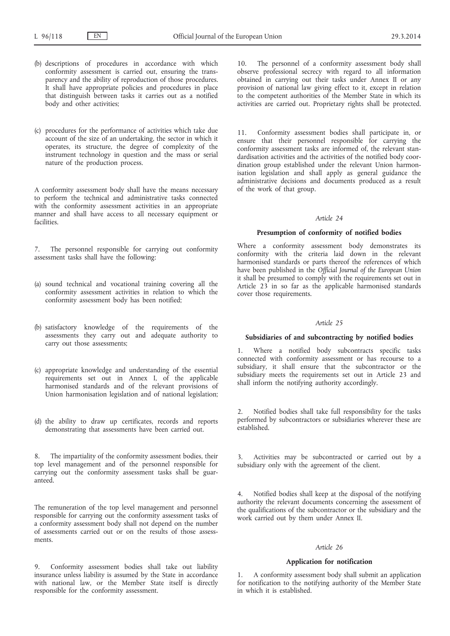- (b) descriptions of procedures in accordance with which conformity assessment is carried out, ensuring the transparency and the ability of reproduction of those procedures. It shall have appropriate policies and procedures in place that distinguish between tasks it carries out as a notified body and other activities;
- (c) procedures for the performance of activities which take due account of the size of an undertaking, the sector in which it operates, its structure, the degree of complexity of the instrument technology in question and the mass or serial nature of the production process.

A conformity assessment body shall have the means necessary to perform the technical and administrative tasks connected with the conformity assessment activities in an appropriate manner and shall have access to all necessary equipment or facilities.

7. The personnel responsible for carrying out conformity assessment tasks shall have the following:

- (a) sound technical and vocational training covering all the conformity assessment activities in relation to which the conformity assessment body has been notified;
- (b) satisfactory knowledge of the requirements of the assessments they carry out and adequate authority to carry out those assessments;
- (c) appropriate knowledge and understanding of the essential requirements set out in Annex I, of the applicable harmonised standards and of the relevant provisions of Union harmonisation legislation and of national legislation;
- (d) the ability to draw up certificates, records and reports demonstrating that assessments have been carried out.

8. The impartiality of the conformity assessment bodies, their top level management and of the personnel responsible for carrying out the conformity assessment tasks shall be guaranteed.

The remuneration of the top level management and personnel responsible for carrying out the conformity assessment tasks of a conformity assessment body shall not depend on the number of assessments carried out or on the results of those assessments.

9. Conformity assessment bodies shall take out liability insurance unless liability is assumed by the State in accordance with national law, or the Member State itself is directly responsible for the conformity assessment.

10. The personnel of a conformity assessment body shall observe professional secrecy with regard to all information obtained in carrying out their tasks under Annex II or any provision of national law giving effect to it, except in relation to the competent authorities of the Member State in which its activities are carried out. Proprietary rights shall be protected.

11. Conformity assessment bodies shall participate in, or ensure that their personnel responsible for carrying the conformity assessment tasks are informed of, the relevant standardisation activities and the activities of the notified body coordination group established under the relevant Union harmonisation legislation and shall apply as general guidance the administrative decisions and documents produced as a result of the work of that group.

## *Article 24*

### **Presumption of conformity of notified bodies**

Where a conformity assessment body demonstrates its conformity with the criteria laid down in the relevant harmonised standards or parts thereof the references of which have been published in the *Official Journal of the European Union* it shall be presumed to comply with the requirements set out in Article 23 in so far as the applicable harmonised standards cover those requirements.

#### *Article 25*

# **Subsidiaries of and subcontracting by notified bodies**

1. Where a notified body subcontracts specific tasks connected with conformity assessment or has recourse to a subsidiary, it shall ensure that the subcontractor or the subsidiary meets the requirements set out in Article 23 and shall inform the notifying authority accordingly.

2. Notified bodies shall take full responsibility for the tasks performed by subcontractors or subsidiaries wherever these are established.

Activities may be subcontracted or carried out by a subsidiary only with the agreement of the client.

4. Notified bodies shall keep at the disposal of the notifying authority the relevant documents concerning the assessment of the qualifications of the subcontractor or the subsidiary and the work carried out by them under Annex II.

#### *Article 26*

### **Application for notification**

1. A conformity assessment body shall submit an application for notification to the notifying authority of the Member State in which it is established.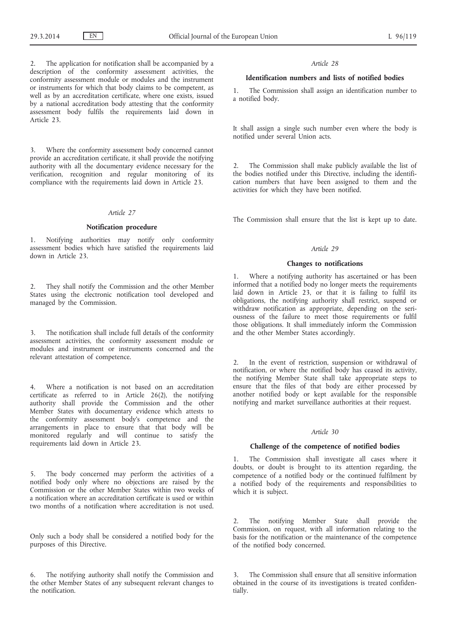2. The application for notification shall be accompanied by a description of the conformity assessment activities, the conformity assessment module or modules and the instrument or instruments for which that body claims to be competent, as well as by an accreditation certificate, where one exists, issued by a national accreditation body attesting that the conformity assessment body fulfils the requirements laid down in Article 23.

3. Where the conformity assessment body concerned cannot provide an accreditation certificate, it shall provide the notifying authority with all the documentary evidence necessary for the verification, recognition and regular monitoring of its compliance with the requirements laid down in Article 23.

### *Article 27*

## **Notification procedure**

1. Notifying authorities may notify only conformity assessment bodies which have satisfied the requirements laid down in Article 23.

2. They shall notify the Commission and the other Member States using the electronic notification tool developed and managed by the Commission.

The notification shall include full details of the conformity assessment activities, the conformity assessment module or modules and instrument or instruments concerned and the relevant attestation of competence.

4. Where a notification is not based on an accreditation certificate as referred to in Article 26(2), the notifying authority shall provide the Commission and the other Member States with documentary evidence which attests to the conformity assessment body's competence and the arrangements in place to ensure that that body will be monitored regularly and will continue to satisfy the requirements laid down in Article 23.

5. The body concerned may perform the activities of a notified body only where no objections are raised by the Commission or the other Member States within two weeks of a notification where an accreditation certificate is used or within two months of a notification where accreditation is not used.

Only such a body shall be considered a notified body for the purposes of this Directive.

6. The notifying authority shall notify the Commission and the other Member States of any subsequent relevant changes to the notification.

#### *Article 28*

## **Identification numbers and lists of notified bodies**

1. The Commission shall assign an identification number to a notified body.

It shall assign a single such number even where the body is notified under several Union acts.

2. The Commission shall make publicly available the list of the bodies notified under this Directive, including the identification numbers that have been assigned to them and the activities for which they have been notified.

The Commission shall ensure that the list is kept up to date.

#### *Article 29*

### **Changes to notifications**

1. Where a notifying authority has ascertained or has been informed that a notified body no longer meets the requirements laid down in Article 23, or that it is failing to fulfil its obligations, the notifying authority shall restrict, suspend or withdraw notification as appropriate, depending on the seriousness of the failure to meet those requirements or fulfil those obligations. It shall immediately inform the Commission and the other Member States accordingly.

2. In the event of restriction, suspension or withdrawal of notification, or where the notified body has ceased its activity, the notifying Member State shall take appropriate steps to ensure that the files of that body are either processed by another notified body or kept available for the responsible notifying and market surveillance authorities at their request.

#### *Article 30*

### **Challenge of the competence of notified bodies**

1. The Commission shall investigate all cases where it doubts, or doubt is brought to its attention regarding, the competence of a notified body or the continued fulfilment by a notified body of the requirements and responsibilities to which it is subject.

2. The notifying Member State shall provide the Commission, on request, with all information relating to the basis for the notification or the maintenance of the competence of the notified body concerned.

3. The Commission shall ensure that all sensitive information obtained in the course of its investigations is treated confidentially.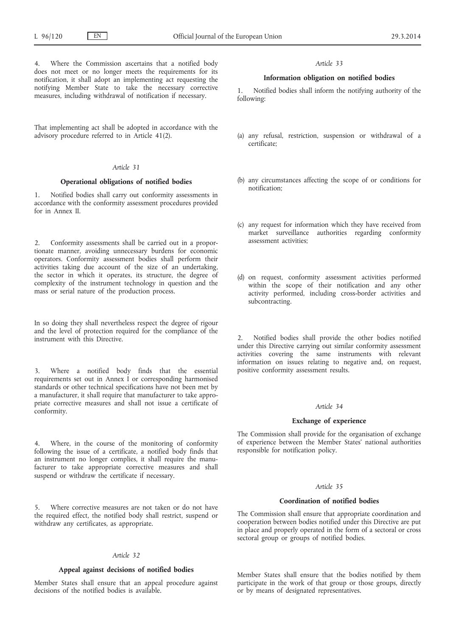4. Where the Commission ascertains that a notified body does not meet or no longer meets the requirements for its notification, it shall adopt an implementing act requesting the notifying Member State to take the necessary corrective measures, including withdrawal of notification if necessary.

That implementing act shall be adopted in accordance with the advisory procedure referred to in Article 41(2).

#### *Article 31*

### **Operational obligations of notified bodies**

1. Notified bodies shall carry out conformity assessments in accordance with the conformity assessment procedures provided for in Annex II.

2. Conformity assessments shall be carried out in a proportionate manner, avoiding unnecessary burdens for economic operators. Conformity assessment bodies shall perform their activities taking due account of the size of an undertaking, the sector in which it operates, its structure, the degree of complexity of the instrument technology in question and the mass or serial nature of the production process.

In so doing they shall nevertheless respect the degree of rigour and the level of protection required for the compliance of the instrument with this Directive.

3. Where a notified body finds that the essential requirements set out in Annex I or corresponding harmonised standards or other technical specifications have not been met by a manufacturer, it shall require that manufacturer to take appropriate corrective measures and shall not issue a certificate of conformity.

Where, in the course of the monitoring of conformity following the issue of a certificate, a notified body finds that an instrument no longer complies, it shall require the manufacturer to take appropriate corrective measures and shall suspend or withdraw the certificate if necessary.

5. Where corrective measures are not taken or do not have the required effect, the notified body shall restrict, suspend or withdraw any certificates, as appropriate.

### *Article 32*

### **Appeal against decisions of notified bodies**

Member States shall ensure that an appeal procedure against decisions of the notified bodies is available.

#### *Article 33*

### **Information obligation on notified bodies**

Notified bodies shall inform the notifying authority of the following:

- (a) any refusal, restriction, suspension or withdrawal of a certificate;
- (b) any circumstances affecting the scope of or conditions for notification;
- (c) any request for information which they have received from market surveillance authorities regarding conformity assessment activities;
- (d) on request, conformity assessment activities performed within the scope of their notification and any other activity performed, including cross-border activities and subcontracting.

2. Notified bodies shall provide the other bodies notified under this Directive carrying out similar conformity assessment activities covering the same instruments with relevant information on issues relating to negative and, on request, positive conformity assessment results.

#### *Article 34*

### **Exchange of experience**

The Commission shall provide for the organisation of exchange of experience between the Member States' national authorities responsible for notification policy.

### *Article 35*

## **Coordination of notified bodies**

The Commission shall ensure that appropriate coordination and cooperation between bodies notified under this Directive are put in place and properly operated in the form of a sectoral or cross sectoral group or groups of notified bodies.

Member States shall ensure that the bodies notified by them participate in the work of that group or those groups, directly or by means of designated representatives.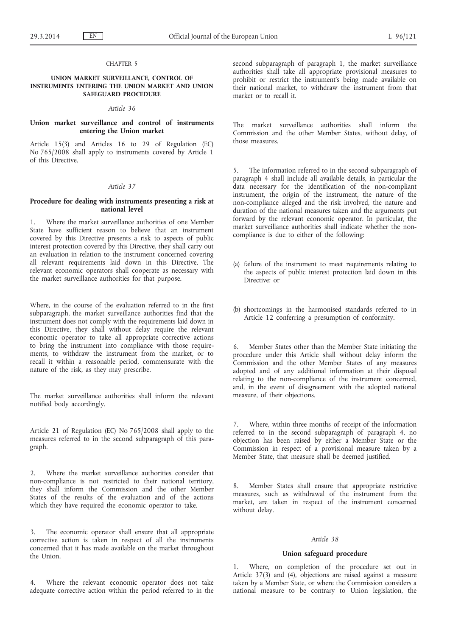### CHAPTER 5

### **UNION MARKET SURVEILLANCE, CONTROL OF INSTRUMENTS ENTERING THE UNION MARKET AND UNION SAFEGUARD PROCEDURE**

### *Article 36*

## **Union market surveillance and control of instruments entering the Union market**

Article 15(3) and Articles 16 to 29 of Regulation (EC) No 765/2008 shall apply to instruments covered by Article 1 of this Directive.

### *Article 37*

### **Procedure for dealing with instruments presenting a risk at national level**

1. Where the market surveillance authorities of one Member State have sufficient reason to believe that an instrument covered by this Directive presents a risk to aspects of public interest protection covered by this Directive, they shall carry out an evaluation in relation to the instrument concerned covering all relevant requirements laid down in this Directive. The relevant economic operators shall cooperate as necessary with the market surveillance authorities for that purpose.

Where, in the course of the evaluation referred to in the first subparagraph, the market surveillance authorities find that the instrument does not comply with the requirements laid down in this Directive, they shall without delay require the relevant economic operator to take all appropriate corrective actions to bring the instrument into compliance with those requirements, to withdraw the instrument from the market, or to recall it within a reasonable period, commensurate with the nature of the risk, as they may prescribe.

The market surveillance authorities shall inform the relevant notified body accordingly.

Article 21 of Regulation (EC) No 765/2008 shall apply to the measures referred to in the second subparagraph of this paragraph.

2. Where the market surveillance authorities consider that non-compliance is not restricted to their national territory, they shall inform the Commission and the other Member States of the results of the evaluation and of the actions which they have required the economic operator to take.

3. The economic operator shall ensure that all appropriate corrective action is taken in respect of all the instruments concerned that it has made available on the market throughout the Union.

Where the relevant economic operator does not take adequate corrective action within the period referred to in the second subparagraph of paragraph 1, the market surveillance authorities shall take all appropriate provisional measures to prohibit or restrict the instrument's being made available on their national market, to withdraw the instrument from that market or to recall it.

The market surveillance authorities shall inform the Commission and the other Member States, without delay, of those measures.

5. The information referred to in the second subparagraph of paragraph 4 shall include all available details, in particular the data necessary for the identification of the non-compliant instrument, the origin of the instrument, the nature of the non-compliance alleged and the risk involved, the nature and duration of the national measures taken and the arguments put forward by the relevant economic operator. In particular, the market surveillance authorities shall indicate whether the noncompliance is due to either of the following:

- (a) failure of the instrument to meet requirements relating to the aspects of public interest protection laid down in this Directive; or
- (b) shortcomings in the harmonised standards referred to in Article 12 conferring a presumption of conformity.

6. Member States other than the Member State initiating the procedure under this Article shall without delay inform the Commission and the other Member States of any measures adopted and of any additional information at their disposal relating to the non-compliance of the instrument concerned, and, in the event of disagreement with the adopted national measure, of their objections.

7. Where, within three months of receipt of the information referred to in the second subparagraph of paragraph 4, no objection has been raised by either a Member State or the Commission in respect of a provisional measure taken by a Member State, that measure shall be deemed justified.

Member States shall ensure that appropriate restrictive measures, such as withdrawal of the instrument from the market, are taken in respect of the instrument concerned without delay.

#### *Article 38*

## **Union safeguard procedure**

1. Where, on completion of the procedure set out in Article 37(3) and (4), objections are raised against a measure taken by a Member State, or where the Commission considers a national measure to be contrary to Union legislation, the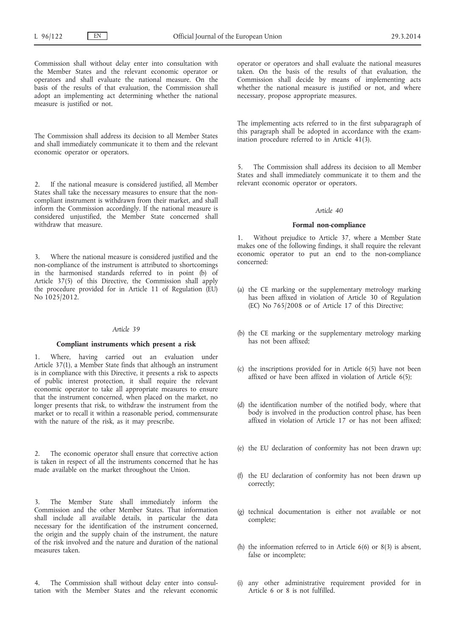Commission shall without delay enter into consultation with the Member States and the relevant economic operator or operators and shall evaluate the national measure. On the basis of the results of that evaluation, the Commission shall adopt an implementing act determining whether the national measure is justified or not.

The Commission shall address its decision to all Member States and shall immediately communicate it to them and the relevant economic operator or operators.

2. If the national measure is considered justified, all Member States shall take the necessary measures to ensure that the noncompliant instrument is withdrawn from their market, and shall inform the Commission accordingly. If the national measure is considered unjustified, the Member State concerned shall withdraw that measure.

3. Where the national measure is considered justified and the non-compliance of the instrument is attributed to shortcomings in the harmonised standards referred to in point (b) of Article 37(5) of this Directive, the Commission shall apply the procedure provided for in Article 11 of Regulation (EU) No 1025/2012.

### *Article 39*

## **Compliant instruments which present a risk**

1. Where, having carried out an evaluation under Article 37(1), a Member State finds that although an instrument is in compliance with this Directive, it presents a risk to aspects of public interest protection, it shall require the relevant economic operator to take all appropriate measures to ensure that the instrument concerned, when placed on the market, no longer presents that risk, to withdraw the instrument from the market or to recall it within a reasonable period, commensurate with the nature of the risk, as it may prescribe.

2. The economic operator shall ensure that corrective action is taken in respect of all the instruments concerned that he has made available on the market throughout the Union.

The Member State shall immediately inform the Commission and the other Member States. That information shall include all available details, in particular the data necessary for the identification of the instrument concerned, the origin and the supply chain of the instrument, the nature of the risk involved and the nature and duration of the national measures taken.

4. The Commission shall without delay enter into consultation with the Member States and the relevant economic operator or operators and shall evaluate the national measures taken. On the basis of the results of that evaluation, the Commission shall decide by means of implementing acts whether the national measure is justified or not, and where necessary, propose appropriate measures.

The implementing acts referred to in the first subparagraph of this paragraph shall be adopted in accordance with the examination procedure referred to in Article 41(3).

The Commission shall address its decision to all Member States and shall immediately communicate it to them and the relevant economic operator or operators.

### *Article 40*

### **Formal non-compliance**

1. Without prejudice to Article 37, where a Member State makes one of the following findings, it shall require the relevant economic operator to put an end to the non-compliance concerned:

- (a) the CE marking or the supplementary metrology marking has been affixed in violation of Article 30 of Regulation (EC) No 765/2008 or of Article 17 of this Directive;
- (b) the CE marking or the supplementary metrology marking has not been affixed;
- (c) the inscriptions provided for in Article 6(5) have not been affixed or have been affixed in violation of Article 6(5);
- (d) the identification number of the notified body, where that body is involved in the production control phase, has been affixed in violation of Article 17 or has not been affixed;
- (e) the EU declaration of conformity has not been drawn up;
- (f) the EU declaration of conformity has not been drawn up correctly;
- (g) technical documentation is either not available or not complete;
- (h) the information referred to in Article 6(6) or 8(3) is absent, false or incomplete;
- (i) any other administrative requirement provided for in Article 6 or 8 is not fulfilled.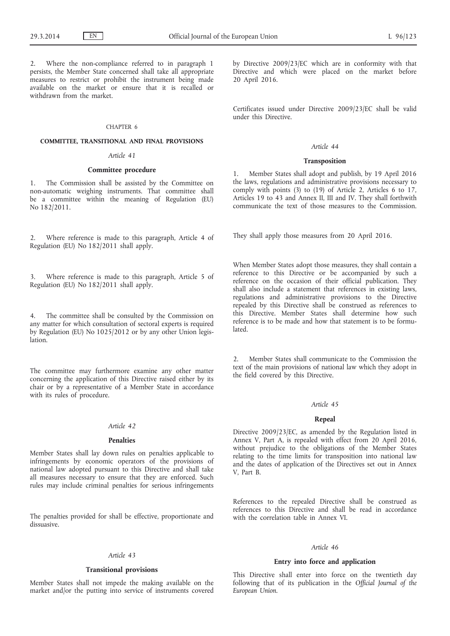Where the non-compliance referred to in paragraph 1 persists, the Member State concerned shall take all appropriate measures to restrict or prohibit the instrument being made available on the market or ensure that it is recalled or withdrawn from the market.

### CHAPTER 6

## **COMMITTEE, TRANSITIONAL AND FINAL PROVISIONS**

# *Article 41*

### **Committee procedure**

1. The Commission shall be assisted by the Committee on non-automatic weighing instruments. That committee shall be a committee within the meaning of Regulation (EU) No 182/2011.

2. Where reference is made to this paragraph, Article 4 of Regulation (EU) No 182/2011 shall apply.

3. Where reference is made to this paragraph, Article 5 of Regulation (EU) No 182/2011 shall apply.

The committee shall be consulted by the Commission on any matter for which consultation of sectoral experts is required by Regulation (EU) No 1025/2012 or by any other Union legislation.

The committee may furthermore examine any other matter concerning the application of this Directive raised either by its chair or by a representative of a Member State in accordance with its rules of procedure.

#### *Article 42*

### **Penalties**

Member States shall lay down rules on penalties applicable to infringements by economic operators of the provisions of national law adopted pursuant to this Directive and shall take all measures necessary to ensure that they are enforced. Such rules may include criminal penalties for serious infringements

The penalties provided for shall be effective, proportionate and dissuasive.

#### *Article 43*

### **Transitional provisions**

Member States shall not impede the making available on the market and/or the putting into service of instruments covered by Directive 2009/23/EC which are in conformity with that Directive and which were placed on the market before 20 April 2016.

Certificates issued under Directive 2009/23/EC shall be valid under this Directive.

### *Article 44*

## **Transposition**

1. Member States shall adopt and publish, by 19 April 2016 the laws, regulations and administrative provisions necessary to comply with points (3) to (19) of Article 2, Articles 6 to 17, Articles 19 to 43 and Annex II, III and IV. They shall forthwith communicate the text of those measures to the Commission.

They shall apply those measures from 20 April 2016.

When Member States adopt those measures, they shall contain a reference to this Directive or be accompanied by such a reference on the occasion of their official publication. They shall also include a statement that references in existing laws, regulations and administrative provisions to the Directive repealed by this Directive shall be construed as references to this Directive. Member States shall determine how such reference is to be made and how that statement is to be formulated.

2. Member States shall communicate to the Commission the text of the main provisions of national law which they adopt in the field covered by this Directive.

#### *Article 45*

### **Repeal**

Directive 2009/23/EC, as amended by the Regulation listed in Annex V, Part A, is repealed with effect from 20 April 2016, without prejudice to the obligations of the Member States relating to the time limits for transposition into national law and the dates of application of the Directives set out in Annex V, Part B.

References to the repealed Directive shall be construed as references to this Directive and shall be read in accordance with the correlation table in Annex VI.

#### *Article 46*

### **Entry into force and application**

This Directive shall enter into force on the twentieth day following that of its publication in the *Official Journal of the European Union*.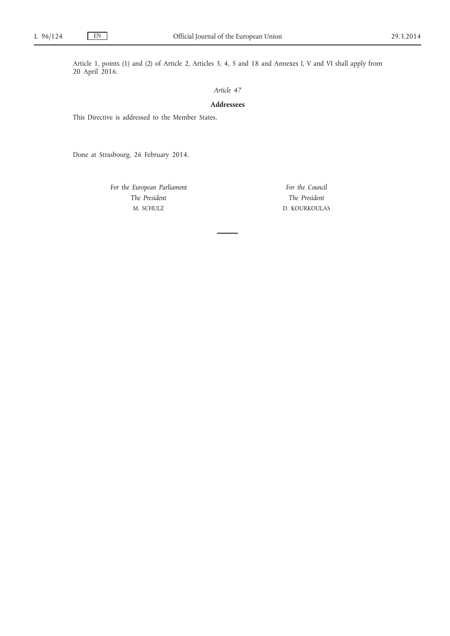Article 1, points (1) and (2) of Article 2, Articles 3, 4, 5 and 18 and Annexes I, V and VI shall apply from 20 April 2016.

## *Article 47*

# **Addressees**

This Directive is addressed to the Member States.

Done at Strasbourg, 26 February 2014.

*For the European Parliament The President* M. SCHULZ

*For the Council The President* D. KOURKOULAS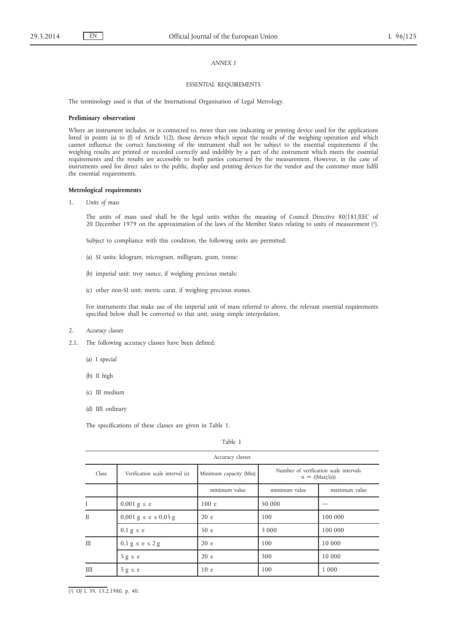## *ANNEX I*

#### ESSENTIAL REQUIREMENTS

The terminology used is that of the International Organisation of Legal Metrology.

#### **Preliminary observation**

Where an instrument includes, or is connected to, more than one indicating or printing device used for the applications listed in points (a) to (f) of Article 1(2), those devices which repeat the results of the weighing operation and which cannot influence the correct functioning of the instrument shall not be subject to the essential requirements if the weighing results are printed or recorded correctly and indelibly by a part of the instrument which meets the essential requirements and the results are accessible to both parties concerned by the measurement. However, in the case of instruments used for direct sales to the public, display and printing devices for the vendor and the customer must fulfil the essential requirements.

#### **Metrological requirements**

1. *Units of mass*

The units of mass used shall be the legal units within the meaning of Council Directive 80/181/EEC of 20 December 1979 on the approximation of the laws of the Member States relating to units of measurement (1).

Subject to compliance with this condition, the following units are permitted:

- (a) SI units: kilogram, microgram, milligram, gram, tonne;
- (b) imperial unit: troy ounce, if weighing precious metals;
- (c) other non-SI unit: metric carat, if weighing precious stones.

For instruments that make use of the imperial unit of mass referred to above, the relevant essential requirements specified below shall be converted to that unit, using simple interpolation.

- 2. *Accuracy classes*
- 2.1. The following accuracy classes have been defined:
	- (a) I special
	- (b) II high
	- (c) III medium
	- (d) IIII ordinary

The specifications of these classes are given in Table 1.

|              | Accuracy classes                             |                        |               |                                                             |
|--------------|----------------------------------------------|------------------------|---------------|-------------------------------------------------------------|
| Class        | Verification scale interval (e)              | Minimum capacity (Min) |               | Number of verification scale intervals<br>$n = ((Max)/(e))$ |
|              |                                              | minimum value          | minimum value | maximum value                                               |
| Ι            | $0,001 \text{ g} \leq e$                     | 100 e                  | 50 000        |                                                             |
| $\mathbf{I}$ | $0,001 \text{ g} \leq e \leq 0,05 \text{ g}$ | 20 e                   | 100           | 100 000                                                     |
|              | $0, 1, g \leq e$                             | 50e                    | 5 0 0 0       | 100 000                                                     |
| III          | $0, 1, g \le e \le 2, g$                     | 20 e                   | 100           | 10 000                                                      |
|              | $5 g \le e$                                  | 20 e                   | 500           | 10 000                                                      |
| IIII         | $5 g \le e$                                  | 10 <sub>e</sub>        | 100           | 1 0 0 0                                                     |

( 1) OJ L 39, 15.2.1980, p. 40.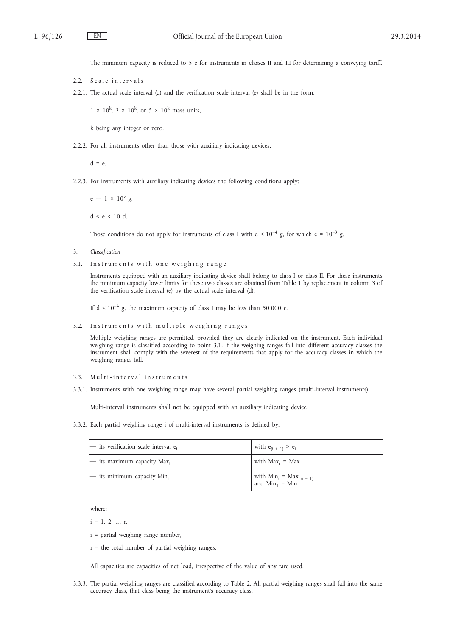The minimum capacity is reduced to 5 e for instruments in classes II and III for determining a conveying tariff.

- 2.2. Scale intervals
- 2.2.1. The actual scale interval (d) and the verification scale interval (e) shall be in the form:

 $1 \times 10^k$ ,  $2 \times 10^k$ , or  $5 \times 10^k$  mass units,

k being any integer or zero.

2.2.2. For all instruments other than those with auxiliary indicating devices:

 $d = e$ .

2.2.3. For instruments with auxiliary indicating devices the following conditions apply:

 $e = 1 \times 10^{k}$  g;  $d \le e \le 10 d$ .

Those conditions do not apply for instruments of class I with  $d < 10^{-4}$  g, for which e =  $10^{-3}$  g.

- 3. *Classification*
- 3.1. Instruments with one weighing range

Instruments equipped with an auxiliary indicating device shall belong to class I or class II. For these instruments the minimum capacity lower limits for these two classes are obtained from Table 1 by replacement in column 3 of the verification scale interval (e) by the actual scale interval (d).

If  $d < 10^{-4}$  g, the maximum capacity of class I may be less than 50 000 e.

3.2. Instruments with multiple weighing ranges

Multiple weighing ranges are permitted, provided they are clearly indicated on the instrument. Each individual weighing range is classified according to point 3.1. If the weighing ranges fall into different accuracy classes the instrument shall comply with the severest of the requirements that apply for the accuracy classes in which the weighing ranges fall.

- 3.3. Multi-interval instruments
- 3.3.1. Instruments with one weighing range may have several partial weighing ranges (multi-interval instruments).

Multi-interval instruments shall not be equipped with an auxiliary indicating device.

3.3.2. Each partial weighing range i of multi-interval instruments is defined by:

| $-$ its verification scale interval $e_i$ | with $e_{(i + 1)} > e_i$                        |
|-------------------------------------------|-------------------------------------------------|
| $-$ its maximum capacity Max <sub>i</sub> | with $Max_r = Max$                              |
| $-$ its minimum capacity Min.             | with $Min_i = Max_{(i-1)}$<br>and $Min_1 = Min$ |

where:

 $i = 1, 2, ... r$ ,

- i = partial weighing range number,
- $r =$  the total number of partial weighing ranges.

All capacities are capacities of net load, irrespective of the value of any tare used.

3.3.3. The partial weighing ranges are classified according to Table 2. All partial weighing ranges shall fall into the same accuracy class, that class being the instrument's accuracy class.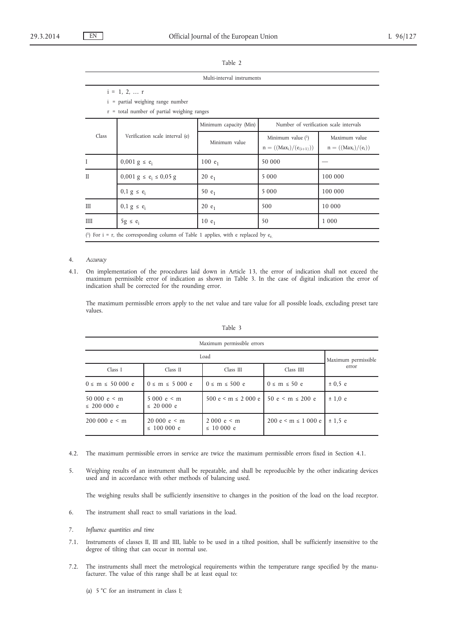|              | $i = 1, 2,  r$<br>$i =$ partial weighing range number<br>$r =$ total number of partial weighing ranges |                        |                                                                               |                                        |
|--------------|--------------------------------------------------------------------------------------------------------|------------------------|-------------------------------------------------------------------------------|----------------------------------------|
|              |                                                                                                        | Minimum capacity (Min) |                                                                               | Number of verification scale intervals |
| Class        | Verification scale interval (e)                                                                        | Minimum value          | Minimum value $(1)$<br>$\mathsf{n} = ((\text{Max}_i) / (\mathsf{e}_{(i+1)}))$ | Maximum value<br>$n = ((Max_i)/(e_i))$ |
|              | $0,001 \text{ g} \leq e_i$                                                                             | 100 $e_1$              | 50 000                                                                        |                                        |
| $\mathbf{I}$ | $0,001 \text{ g} \le \text{e}$ <sub>i</sub> $\le 0,05 \text{ g}$                                       | 20 $e_1$               | 5 0 0 0                                                                       | 100 000                                |
|              | $0, 1$ g $\leq e_i$                                                                                    | 50 $e_1$               | 5 0 0 0                                                                       | 100 000                                |
| III          | $0, 1, g \leq e_i$                                                                                     | 20 $e_1$               | 500                                                                           | 10 000                                 |
| <b>IIII</b>  | $5g \le e_i$                                                                                           | 10 $e_1$               | 50                                                                            | 1 0 0 0                                |
|              | (1) For $i = r$ , the corresponding column of Table 1 applies, with e replaced by $e_r$                |                        |                                                                               |                                        |

### 4. *Accuracy*

4.1. On implementation of the procedures laid down in Article 13, the error of indication shall not exceed the maximum permissible error of indication as shown in Table 3. In the case of digital indication the error of indication shall be corrected for the rounding error.

The maximum permissible errors apply to the net value and tare value for all possible loads, excluding preset tare values.

| ×. |  |
|----|--|

| Maximum permissible errors         |                                    |                                                   |                        |                     |
|------------------------------------|------------------------------------|---------------------------------------------------|------------------------|---------------------|
| Load                               |                                    |                                                   |                        | Maximum permissible |
| Class I                            | Class II                           | Class III                                         | Class IIII             | error               |
| $0 \le m \le 50000 e$              | $0 \le m \le 5000 e$               | $0 \le m \le 500$ e                               | $0 \le m \le 50 e$     | ± 0.5 e             |
| 50 000 $e < m$<br>$\leq$ 200 000 e | $5000 e \le m$<br>$\leq$ 20 000 e  | $500 e \le m \le 2000 e$   50 e $\le m \le 200 e$ |                        | ± 1.0 e             |
| $200000 e \le m$                   | $20000 e \le m$<br>$\leq 100000$ e | $2000 e \le m$<br>$\leq 10000$ e                  | $200 e < m \le 1000 e$ | ± 1.5e              |

- 4.2. The maximum permissible errors in service are twice the maximum permissible errors fixed in Section 4.1.
- 5. Weighing results of an instrument shall be repeatable, and shall be reproducible by the other indicating devices used and in accordance with other methods of balancing used.

The weighing results shall be sufficiently insensitive to changes in the position of the load on the load receptor.

- 6. The instrument shall react to small variations in the load.
- 7. *Influence quantities and time*
- 7.1. Instruments of classes II, III and IIII, liable to be used in a tilted position, shall be sufficiently insensitive to the degree of tilting that can occur in normal use.
- 7.2. The instruments shall meet the metrological requirements within the temperature range specified by the manufacturer. The value of this range shall be at least equal to:
	- (a) 5 °C for an instrument in class I;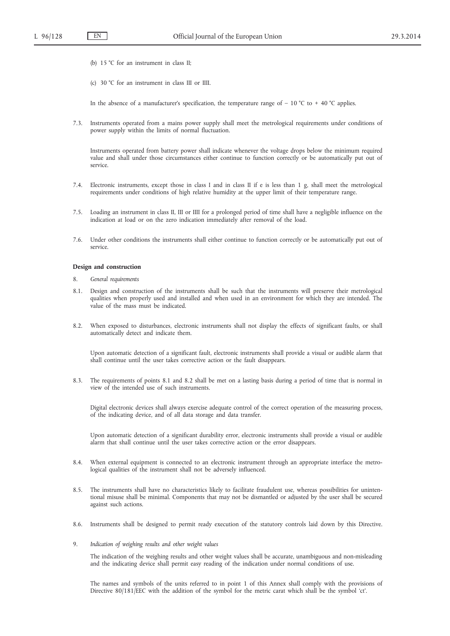- (b) 15 °C for an instrument in class II;
- (c) 30 °C for an instrument in class III or IIII.

In the absence of a manufacturer's specification, the temperature range of  $-10$  °C to  $+40$  °C applies.

7.3. Instruments operated from a mains power supply shall meet the metrological requirements under conditions of power supply within the limits of normal fluctuation.

Instruments operated from battery power shall indicate whenever the voltage drops below the minimum required value and shall under those circumstances either continue to function correctly or be automatically put out of service.

- 7.4. Electronic instruments, except those in class I and in class II if e is less than 1 g, shall meet the metrological requirements under conditions of high relative humidity at the upper limit of their temperature range.
- 7.5. Loading an instrument in class II, III or IIII for a prolonged period of time shall have a negligible influence on the indication at load or on the zero indication immediately after removal of the load.
- 7.6. Under other conditions the instruments shall either continue to function correctly or be automatically put out of service.

#### **Design and construction**

- 8. *General requirements*
- 8.1. Design and construction of the instruments shall be such that the instruments will preserve their metrological qualities when properly used and installed and when used in an environment for which they are intended. The value of the mass must be indicated.
- 8.2. When exposed to disturbances, electronic instruments shall not display the effects of significant faults, or shall automatically detect and indicate them.

Upon automatic detection of a significant fault, electronic instruments shall provide a visual or audible alarm that shall continue until the user takes corrective action or the fault disappears.

8.3. The requirements of points 8.1 and 8.2 shall be met on a lasting basis during a period of time that is normal in view of the intended use of such instruments.

Digital electronic devices shall always exercise adequate control of the correct operation of the measuring process, of the indicating device, and of all data storage and data transfer.

Upon automatic detection of a significant durability error, electronic instruments shall provide a visual or audible alarm that shall continue until the user takes corrective action or the error disappears.

- 8.4. When external equipment is connected to an electronic instrument through an appropriate interface the metrological qualities of the instrument shall not be adversely influenced.
- 8.5. The instruments shall have no characteristics likely to facilitate fraudulent use, whereas possibilities for unintentional misuse shall be minimal. Components that may not be dismantled or adjusted by the user shall be secured against such actions.
- 8.6. Instruments shall be designed to permit ready execution of the statutory controls laid down by this Directive.
- 9. *Indication of weighing results and other weight values*

The indication of the weighing results and other weight values shall be accurate, unambiguous and non-misleading and the indicating device shall permit easy reading of the indication under normal conditions of use.

The names and symbols of the units referred to in point 1 of this Annex shall comply with the provisions of Directive 80/181/EEC with the addition of the symbol for the metric carat which shall be the symbol 'ct'.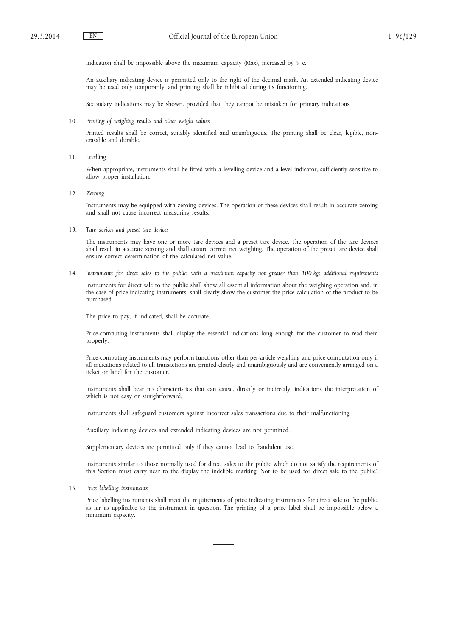Indication shall be impossible above the maximum capacity (Max), increased by 9 e.

An auxiliary indicating device is permitted only to the right of the decimal mark. An extended indicating device may be used only temporarily, and printing shall be inhibited during its functioning.

Secondary indications may be shown, provided that they cannot be mistaken for primary indications.

10. *Printing of weighing results and other weight values*

Printed results shall be correct, suitably identified and unambiguous. The printing shall be clear, legible, nonerasable and durable.

11. *Levelling*

When appropriate, instruments shall be fitted with a levelling device and a level indicator, sufficiently sensitive to allow proper installation.

12. *Zeroing*

Instruments may be equipped with zeroing devices. The operation of these devices shall result in accurate zeroing and shall not cause incorrect measuring results.

13. *Tare devices and preset tare devices*

The instruments may have one or more tare devices and a preset tare device. The operation of the tare devices shall result in accurate zeroing and shall ensure correct net weighing. The operation of the preset tare device shall ensure correct determination of the calculated net value.

14. *Instruments for direct sales to the public, with a maximum capacity not greater than 100 kg: additional requirements*

Instruments for direct sale to the public shall show all essential information about the weighing operation and, in the case of price-indicating instruments, shall clearly show the customer the price calculation of the product to be purchased.

The price to pay, if indicated, shall be accurate.

Price-computing instruments shall display the essential indications long enough for the customer to read them properly.

Price-computing instruments may perform functions other than per-article weighing and price computation only if all indications related to all transactions are printed clearly and unambiguously and are conveniently arranged on a ticket or label for the customer.

Instruments shall bear no characteristics that can cause, directly or indirectly, indications the interpretation of which is not easy or straightforward.

Instruments shall safeguard customers against incorrect sales transactions due to their malfunctioning.

Auxiliary indicating devices and extended indicating devices are not permitted.

Supplementary devices are permitted only if they cannot lead to fraudulent use.

Instruments similar to those normally used for direct sales to the public which do not satisfy the requirements of this Section must carry near to the display the indelible marking 'Not to be used for direct sale to the public'.

#### 15. *Price labelling instruments*

Price labelling instruments shall meet the requirements of price indicating instruments for direct sale to the public, as far as applicable to the instrument in question. The printing of a price label shall be impossible below a minimum capacity.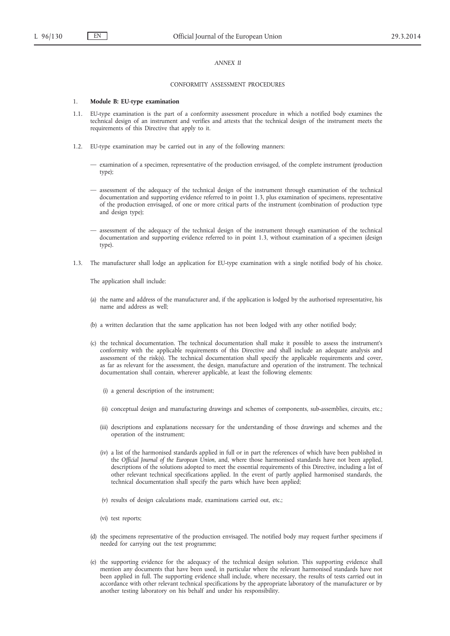## *ANNEX II*

#### CONFORMITY ASSESSMENT PROCEDURES

#### 1. **Module B: EU-type examination**

- 1.1. EU-type examination is the part of a conformity assessment procedure in which a notified body examines the technical design of an instrument and verifies and attests that the technical design of the instrument meets the requirements of this Directive that apply to it.
- 1.2. EU-type examination may be carried out in any of the following manners:
	- examination of a specimen, representative of the production envisaged, of the complete instrument (production type);
	- assessment of the adequacy of the technical design of the instrument through examination of the technical documentation and supporting evidence referred to in point 1.3, plus examination of specimens, representative of the production envisaged, of one or more critical parts of the instrument (combination of production type and design type);
	- assessment of the adequacy of the technical design of the instrument through examination of the technical documentation and supporting evidence referred to in point 1.3, without examination of a specimen (design type).
- 1.3. The manufacturer shall lodge an application for EU-type examination with a single notified body of his choice.

The application shall include:

- (a) the name and address of the manufacturer and, if the application is lodged by the authorised representative, his name and address as well;
- (b) a written declaration that the same application has not been lodged with any other notified body;
- (c) the technical documentation. The technical documentation shall make it possible to assess the instrument's conformity with the applicable requirements of this Directive and shall include an adequate analysis and assessment of the risk(s). The technical documentation shall specify the applicable requirements and cover, as far as relevant for the assessment, the design, manufacture and operation of the instrument. The technical documentation shall contain, wherever applicable, at least the following elements:
	- (i) a general description of the instrument;
	- (ii) conceptual design and manufacturing drawings and schemes of components, sub-assemblies, circuits, etc.;
	- (iii) descriptions and explanations necessary for the understanding of those drawings and schemes and the operation of the instrument;
	- (iv) a list of the harmonised standards applied in full or in part the references of which have been published in the *Official Journal of the European Union*, and, where those harmonised standards have not been applied, descriptions of the solutions adopted to meet the essential requirements of this Directive, including a list of other relevant technical specifications applied. In the event of partly applied harmonised standards, the technical documentation shall specify the parts which have been applied;
	- (v) results of design calculations made, examinations carried out, etc.;
	- (vi) test reports;
- (d) the specimens representative of the production envisaged. The notified body may request further specimens if needed for carrying out the test programme;
- (e) the supporting evidence for the adequacy of the technical design solution. This supporting evidence shall mention any documents that have been used, in particular where the relevant harmonised standards have not been applied in full. The supporting evidence shall include, where necessary, the results of tests carried out in accordance with other relevant technical specifications by the appropriate laboratory of the manufacturer or by another testing laboratory on his behalf and under his responsibility.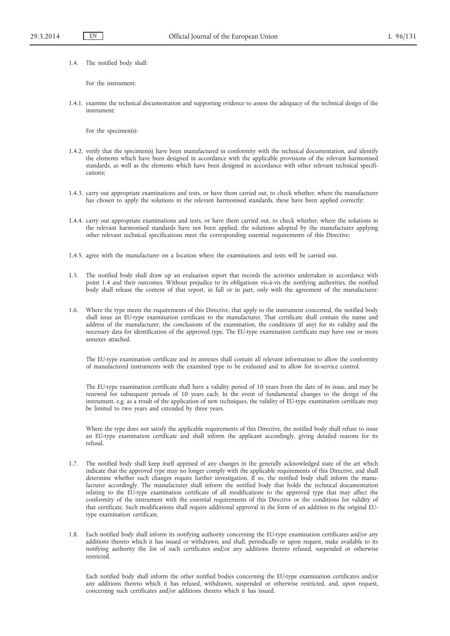1.4. The notified body shall:

For the instrument:

1.4.1. examine the technical documentation and supporting evidence to assess the adequacy of the technical design of the instrument;

For the specimen(s):

- 1.4.2. verify that the specimen(s) have been manufactured in conformity with the technical documentation, and identify the elements which have been designed in accordance with the applicable provisions of the relevant harmonised standards, as well as the elements which have been designed in accordance with other relevant technical specifications;
- 1.4.3. carry out appropriate examinations and tests, or have them carried out, to check whether, where the manufacturer has chosen to apply the solutions in the relevant harmonised standards, these have been applied correctly;
- 1.4.4. carry out appropriate examinations and tests, or have them carried out, to check whether, where the solutions in the relevant harmonised standards have not been applied, the solutions adopted by the manufacturer applying other relevant technical specifications meet the corresponding essential requirements of this Directive;
- 1.4.5. agree with the manufacturer on a location where the examinations and tests will be carried out.
- 1.5. The notified body shall draw up an evaluation report that records the activities undertaken in accordance with point 1.4 and their outcomes. Without prejudice to its obligations vis-à-vis the notifying authorities, the notified body shall release the content of that report, in full or in part, only with the agreement of the manufacturer.
- 1.6. Where the type meets the requirements of this Directive, that apply to the instrument concerned, the notified body shall issue an EU-type examination certificate to the manufacturer. That certificate shall contain the name and address of the manufacturer, the conclusions of the examination, the conditions (if any) for its validity and the necessary data for identification of the approved type. The EU-type examination certificate may have one or more annexes attached.

The EU-type examination certificate and its annexes shall contain all relevant information to allow the conformity of manufactured instruments with the examined type to be evaluated and to allow for in-service control.

The EU-type examination certificate shall have a validity period of 10 years from the date of its issue, and may be renewed for subsequent periods of 10 years each. In the event of fundamental changes to the design of the instrument, e.g. as a result of the application of new techniques, the validity of EU-type examination certificate may be limited to two years and extended by three years.

Where the type does not satisfy the applicable requirements of this Directive, the notified body shall refuse to issue an EU-type examination certificate and shall inform the applicant accordingly, giving detailed reasons for its refusal.

- 1.7. The notified body shall keep itself apprised of any changes in the generally acknowledged state of the art which indicate that the approved type may no longer comply with the applicable requirements of this Directive, and shall determine whether such changes require further investigation. If so, the notified body shall inform the manufacturer accordingly. The manufacturer shall inform the notified body that holds the technical documentation relating to the EU-type examination certificate of all modifications to the approved type that may affect the conformity of the instrument with the essential requirements of this Directive or the conditions for validity of that certificate. Such modifications shall require additional approval in the form of an addition to the original EUtype examination certificate.
- 1.8. Each notified body shall inform its notifying authority concerning the EU-type examination certificates and/or any additions thereto which it has issued or withdrawn, and shall, periodically or upon request, make available to its notifying authority the list of such certificates and/or any additions thereto refused, suspended or otherwise restricted.

Each notified body shall inform the other notified bodies concerning the EU-type examination certificates and/or any additions thereto which it has refused, withdrawn, suspended or otherwise restricted, and, upon request, concerning such certificates and/or additions thereto which it has issued.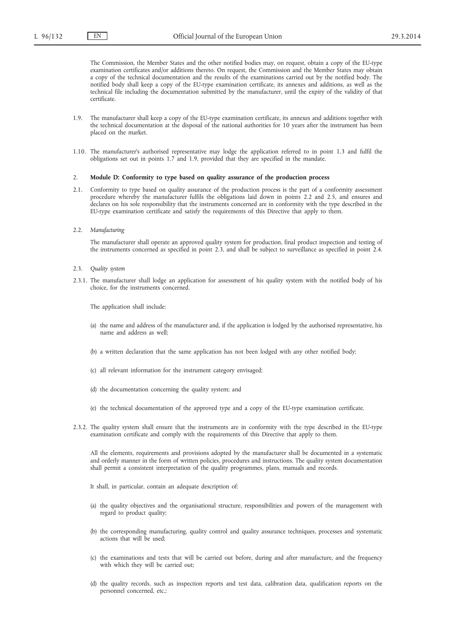The Commission, the Member States and the other notified bodies may, on request, obtain a copy of the EU-type examination certificates and/or additions thereto. On request, the Commission and the Member States may obtain a copy of the technical documentation and the results of the examinations carried out by the notified body. The notified body shall keep a copy of the EU-type examination certificate, its annexes and additions, as well as the technical file including the documentation submitted by the manufacturer, until the expiry of the validity of that certificate.

- 1.9. The manufacturer shall keep a copy of the EU-type examination certificate, its annexes and additions together with the technical documentation at the disposal of the national authorities for 10 years after the instrument has been placed on the market.
- 1.10. The manufacturer's authorised representative may lodge the application referred to in point 1.3 and fulfil the obligations set out in points 1.7 and 1.9, provided that they are specified in the mandate.

# 2. **Module D: Conformity to type based on quality assurance of the production process**

- 2.1. Conformity to type based on quality assurance of the production process is the part of a conformity assessment procedure whereby the manufacturer fulfils the obligations laid down in points 2.2 and 2.5, and ensures and declares on his sole responsibility that the instruments concerned are in conformity with the type described in the EU-type examination certificate and satisfy the requirements of this Directive that apply to them.
- 2.2. *Manufacturing*

The manufacturer shall operate an approved quality system for production, final product inspection and testing of the instruments concerned as specified in point 2.3, and shall be subject to surveillance as specified in point 2.4.

- 2.3. *Quality system*
- 2.3.1. The manufacturer shall lodge an application for assessment of his quality system with the notified body of his choice, for the instruments concerned.

The application shall include:

- (a) the name and address of the manufacturer and, if the application is lodged by the authorised representative, his name and address as well;
- (b) a written declaration that the same application has not been lodged with any other notified body;
- (c) all relevant information for the instrument category envisaged;
- (d) the documentation concerning the quality system; and
- (e) the technical documentation of the approved type and a copy of the EU-type examination certificate.
- 2.3.2. The quality system shall ensure that the instruments are in conformity with the type described in the EU-type examination certificate and comply with the requirements of this Directive that apply to them.

All the elements, requirements and provisions adopted by the manufacturer shall be documented in a systematic and orderly manner in the form of written policies, procedures and instructions. The quality system documentation shall permit a consistent interpretation of the quality programmes, plans, manuals and records.

It shall, in particular, contain an adequate description of:

- (a) the quality objectives and the organisational structure, responsibilities and powers of the management with regard to product quality;
- (b) the corresponding manufacturing, quality control and quality assurance techniques, processes and systematic actions that will be used;
- (c) the examinations and tests that will be carried out before, during and after manufacture, and the frequency with which they will be carried out;
- (d) the quality records, such as inspection reports and test data, calibration data, qualification reports on the personnel concerned, etc.;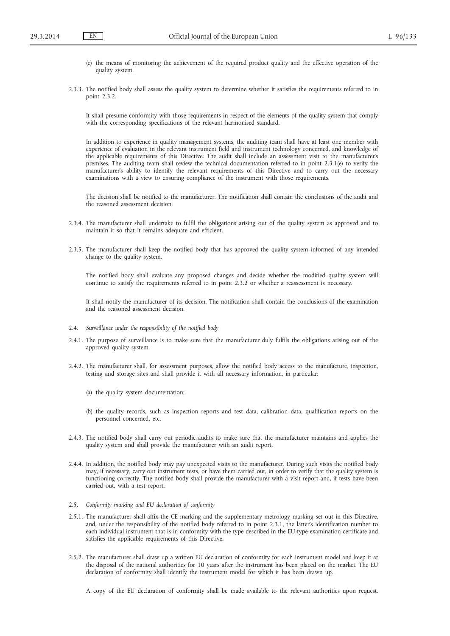- (e) the means of monitoring the achievement of the required product quality and the effective operation of the quality system.
- 2.3.3. The notified body shall assess the quality system to determine whether it satisfies the requirements referred to in point 2.3.2.

It shall presume conformity with those requirements in respect of the elements of the quality system that comply with the corresponding specifications of the relevant harmonised standard.

In addition to experience in quality management systems, the auditing team shall have at least one member with experience of evaluation in the relevant instrument field and instrument technology concerned, and knowledge of the applicable requirements of this Directive. The audit shall include an assessment visit to the manufacturer's premises. The auditing team shall review the technical documentation referred to in point 2.3.1(e) to verify the manufacturer's ability to identify the relevant requirements of this Directive and to carry out the necessary examinations with a view to ensuring compliance of the instrument with those requirements.

The decision shall be notified to the manufacturer. The notification shall contain the conclusions of the audit and the reasoned assessment decision.

- 2.3.4. The manufacturer shall undertake to fulfil the obligations arising out of the quality system as approved and to maintain it so that it remains adequate and efficient.
- 2.3.5. The manufacturer shall keep the notified body that has approved the quality system informed of any intended change to the quality system.

The notified body shall evaluate any proposed changes and decide whether the modified quality system will continue to satisfy the requirements referred to in point 2.3.2 or whether a reassessment is necessary.

It shall notify the manufacturer of its decision. The notification shall contain the conclusions of the examination and the reasoned assessment decision.

- 2.4. *Surveillance under the responsibility of the notified body*
- 2.4.1. The purpose of surveillance is to make sure that the manufacturer duly fulfils the obligations arising out of the approved quality system.
- 2.4.2. The manufacturer shall, for assessment purposes, allow the notified body access to the manufacture, inspection, testing and storage sites and shall provide it with all necessary information, in particular:
	- (a) the quality system documentation;
	- (b) the quality records, such as inspection reports and test data, calibration data, qualification reports on the personnel concerned, etc.
- 2.4.3. The notified body shall carry out periodic audits to make sure that the manufacturer maintains and applies the quality system and shall provide the manufacturer with an audit report.
- 2.4.4. In addition, the notified body may pay unexpected visits to the manufacturer. During such visits the notified body may, if necessary, carry out instrument tests, or have them carried out, in order to verify that the quality system is functioning correctly. The notified body shall provide the manufacturer with a visit report and, if tests have been carried out, with a test report.
- 2.5. *Conformity marking and EU declaration of conformity*
- 2.5.1. The manufacturer shall affix the CE marking and the supplementary metrology marking set out in this Directive, and, under the responsibility of the notified body referred to in point 2.3.1, the latter's identification number to each individual instrument that is in conformity with the type described in the EU-type examination certificate and satisfies the applicable requirements of this Directive.
- 2.5.2. The manufacturer shall draw up a written EU declaration of conformity for each instrument model and keep it at the disposal of the national authorities for 10 years after the instrument has been placed on the market. The EU declaration of conformity shall identify the instrument model for which it has been drawn up.

A copy of the EU declaration of conformity shall be made available to the relevant authorities upon request.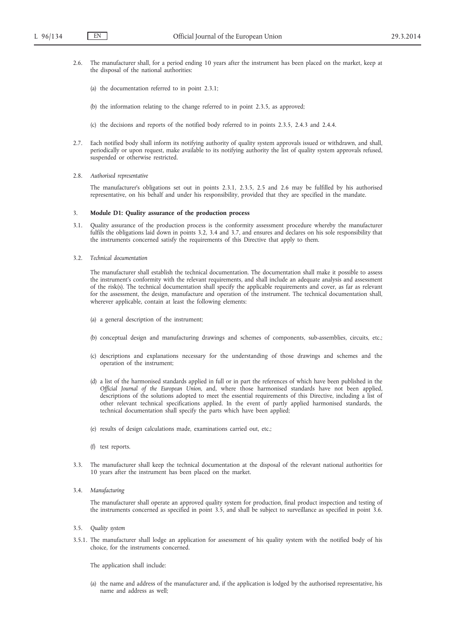- 2.6. The manufacturer shall, for a period ending 10 years after the instrument has been placed on the market, keep at the disposal of the national authorities:
	- (a) the documentation referred to in point 2.3.1;
	- (b) the information relating to the change referred to in point 2.3.5, as approved;
	- (c) the decisions and reports of the notified body referred to in points 2.3.5, 2.4.3 and 2.4.4.
- 2.7. Each notified body shall inform its notifying authority of quality system approvals issued or withdrawn, and shall, periodically or upon request, make available to its notifying authority the list of quality system approvals refused, suspended or otherwise restricted.
- 2.8. *Authorised representative*

The manufacturer's obligations set out in points 2.3.1, 2.3.5, 2.5 and 2.6 may be fulfilled by his authorised representative, on his behalf and under his responsibility, provided that they are specified in the mandate.

#### 3. **Module D1: Quality assurance of the production process**

- 3.1. Quality assurance of the production process is the conformity assessment procedure whereby the manufacturer fulfils the obligations laid down in points 3.2, 3.4 and 3.7, and ensures and declares on his sole responsibility that the instruments concerned satisfy the requirements of this Directive that apply to them.
- 3.2. *Technical documentation*

The manufacturer shall establish the technical documentation. The documentation shall make it possible to assess the instrument's conformity with the relevant requirements, and shall include an adequate analysis and assessment of the risk(s). The technical documentation shall specify the applicable requirements and cover, as far as relevant for the assessment, the design, manufacture and operation of the instrument. The technical documentation shall, wherever applicable, contain at least the following elements:

- (a) a general description of the instrument;
- (b) conceptual design and manufacturing drawings and schemes of components, sub-assemblies, circuits, etc.;
- (c) descriptions and explanations necessary for the understanding of those drawings and schemes and the operation of the instrument;
- (d) a list of the harmonised standards applied in full or in part the references of which have been published in the *Official Journal of the European Union*, and, where those harmonised standards have not been applied, descriptions of the solutions adopted to meet the essential requirements of this Directive, including a list of other relevant technical specifications applied. In the event of partly applied harmonised standards, the technical documentation shall specify the parts which have been applied;
- (e) results of design calculations made, examinations carried out, etc.;
- (f) test reports.
- 3.3. The manufacturer shall keep the technical documentation at the disposal of the relevant national authorities for 10 years after the instrument has been placed on the market.
- 3.4. *Manufacturing*

The manufacturer shall operate an approved quality system for production, final product inspection and testing of the instruments concerned as specified in point 3.5, and shall be subject to surveillance as specified in point 3.6.

- 3.5. *Quality system*
- 3.5.1. The manufacturer shall lodge an application for assessment of his quality system with the notified body of his choice, for the instruments concerned.

The application shall include:

(a) the name and address of the manufacturer and, if the application is lodged by the authorised representative, his name and address as well;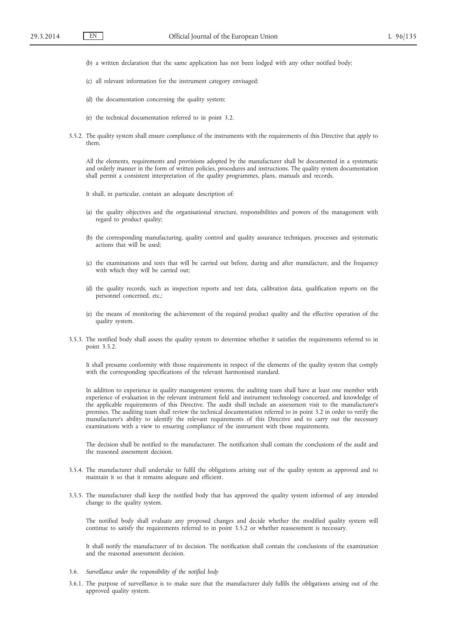- (b) a written declaration that the same application has not been lodged with any other notified body;
- (c) all relevant information for the instrument category envisaged;
- (d) the documentation concerning the quality system;
- (e) the technical documentation referred to in point 3.2.
- 3.5.2. The quality system shall ensure compliance of the instruments with the requirements of this Directive that apply to them.

All the elements, requirements and provisions adopted by the manufacturer shall be documented in a systematic and orderly manner in the form of written policies, procedures and instructions. The quality system documentation shall permit a consistent interpretation of the quality programmes, plans, manuals and records.

It shall, in particular, contain an adequate description of:

- (a) the quality objectives and the organisational structure, responsibilities and powers of the management with regard to product quality;
- (b) the corresponding manufacturing, quality control and quality assurance techniques, processes and systematic actions that will be used;
- (c) the examinations and tests that will be carried out before, during and after manufacture, and the frequency with which they will be carried out;
- (d) the quality records, such as inspection reports and test data, calibration data, qualification reports on the personnel concerned, etc.;
- (e) the means of monitoring the achievement of the required product quality and the effective operation of the quality system.
- 3.5.3. The notified body shall assess the quality system to determine whether it satisfies the requirements referred to in point 3.5.2.

It shall presume conformity with those requirements in respect of the elements of the quality system that comply with the corresponding specifications of the relevant harmonised standard.

In addition to experience in quality management systems, the auditing team shall have at least one member with experience of evaluation in the relevant instrument field and instrument technology concerned, and knowledge of the applicable requirements of this Directive. The audit shall include an assessment visit to the manufacturer's premises. The auditing team shall review the technical documentation referred to in point 3.2 in order to verify the manufacturer's ability to identify the relevant requirements of this Directive and to carry out the necessary examinations with a view to ensuring compliance of the instrument with those requirements.

The decision shall be notified to the manufacturer. The notification shall contain the conclusions of the audit and the reasoned assessment decision.

- 3.5.4. The manufacturer shall undertake to fulfil the obligations arising out of the quality system as approved and to maintain it so that it remains adequate and efficient.
- 3.5.5. The manufacturer shall keep the notified body that has approved the quality system informed of any intended change to the quality system.

The notified body shall evaluate any proposed changes and decide whether the modified quality system will continue to satisfy the requirements referred to in point 3.5.2 or whether reassessment is necessary.

It shall notify the manufacturer of its decision. The notification shall contain the conclusions of the examination and the reasoned assessment decision.

- 3.6. *Surveillance under the responsibility of the notified body*
- 3.6.1. The purpose of surveillance is to make sure that the manufacturer duly fulfils the obligations arising out of the approved quality system.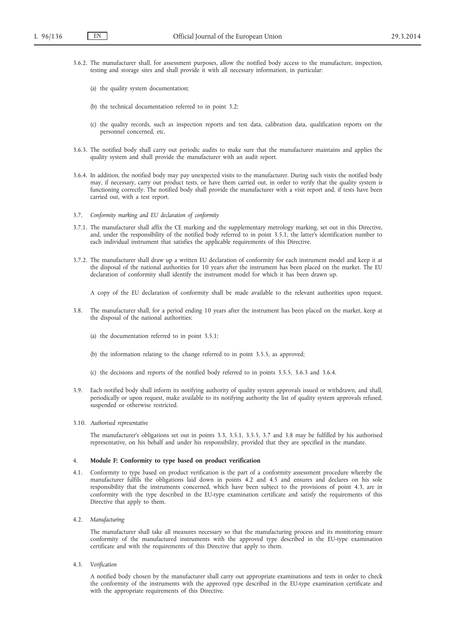- 3.6.2. The manufacturer shall, for assessment purposes, allow the notified body access to the manufacture, inspection, testing and storage sites and shall provide it with all necessary information, in particular:
	- (a) the quality system documentation;
	- (b) the technical documentation referred to in point 3.2;
	- (c) the quality records, such as inspection reports and test data, calibration data, qualification reports on the personnel concerned, etc.
- 3.6.3. The notified body shall carry out periodic audits to make sure that the manufacturer maintains and applies the quality system and shall provide the manufacturer with an audit report.
- 3.6.4. In addition, the notified body may pay unexpected visits to the manufacturer. During such visits the notified body may, if necessary, carry out product tests, or have them carried out, in order to verify that the quality system is functioning correctly. The notified body shall provide the manufacturer with a visit report and, if tests have been carried out, with a test report.
- 3.7. *Conformity marking and EU declaration of conformity*
- 3.7.1. The manufacturer shall affix the CE marking and the supplementary metrology marking, set out in this Directive, and, under the responsibility of the notified body referred to in point 3.5.1, the latter's identification number to each individual instrument that satisfies the applicable requirements of this Directive.
- 3.7.2. The manufacturer shall draw up a written EU declaration of conformity for each instrument model and keep it at the disposal of the national authorities for 10 years after the instrument has been placed on the market. The EU declaration of conformity shall identify the instrument model for which it has been drawn up.

A copy of the EU declaration of conformity shall be made available to the relevant authorities upon request.

- 3.8. The manufacturer shall, for a period ending 10 years after the instrument has been placed on the market, keep at the disposal of the national authorities:
	- (a) the documentation referred to in point 3.5.1;
	- (b) the information relating to the change referred to in point 3.5.5, as approved;
	- (c) the decisions and reports of the notified body referred to in points 3.5.5, 3.6.3 and 3.6.4.
- 3.9. Each notified body shall inform its notifying authority of quality system approvals issued or withdrawn, and shall, periodically or upon request, make available to its notifying authority the list of quality system approvals refused, suspended or otherwise restricted.
- 3.10. *Authorised representative*

The manufacturer's obligations set out in points 3.3, 3.5.1, 3.5.5, 3.7 and 3.8 may be fulfilled by his authorised representative, on his behalf and under his responsibility, provided that they are specified in the mandate.

### 4. **Module F: Conformity to type based on product verification**

- 4.1. Conformity to type based on product verification is the part of a conformity assessment procedure whereby the manufacturer fulfils the obligations laid down in points 4.2 and 4.5 and ensures and declares on his sole responsibility that the instruments concerned, which have been subject to the provisions of point 4.3, are in conformity with the type described in the EU-type examination certificate and satisfy the requirements of this Directive that apply to them.
- 4.2. *Manufacturing*

The manufacturer shall take all measures necessary so that the manufacturing process and its monitoring ensure conformity of the manufactured instruments with the approved type described in the EU-type examination certificate and with the requirements of this Directive that apply to them.

4.3. *Verification*

A notified body chosen by the manufacturer shall carry out appropriate examinations and tests in order to check the conformity of the instruments with the approved type described in the EU-type examination certificate and with the appropriate requirements of this Directive.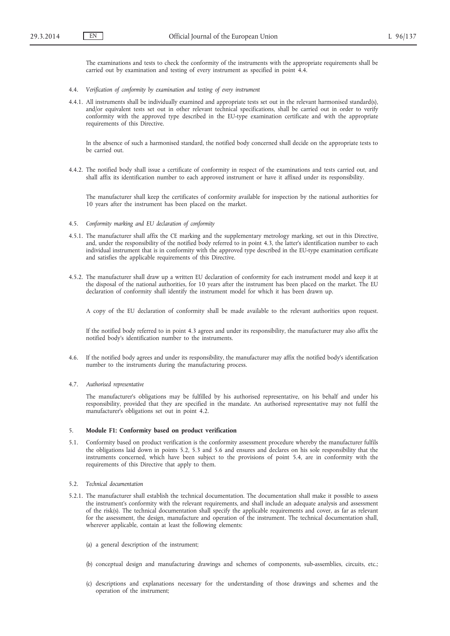The examinations and tests to check the conformity of the instruments with the appropriate requirements shall be carried out by examination and testing of every instrument as specified in point 4.4.

- 4.4. *Verification of conformity by examination and testing of every instrument*
- 4.4.1. All instruments shall be individually examined and appropriate tests set out in the relevant harmonised standard(s), and/or equivalent tests set out in other relevant technical specifications, shall be carried out in order to verify conformity with the approved type described in the EU-type examination certificate and with the appropriate requirements of this Directive.

In the absence of such a harmonised standard, the notified body concerned shall decide on the appropriate tests to be carried out.

4.4.2. The notified body shall issue a certificate of conformity in respect of the examinations and tests carried out, and shall affix its identification number to each approved instrument or have it affixed under its responsibility.

The manufacturer shall keep the certificates of conformity available for inspection by the national authorities for 10 years after the instrument has been placed on the market.

- 4.5. *Conformity marking and EU declaration of conformity*
- 4.5.1. The manufacturer shall affix the CE marking and the supplementary metrology marking, set out in this Directive, and, under the responsibility of the notified body referred to in point 4.3, the latter's identification number to each individual instrument that is in conformity with the approved type described in the EU-type examination certificate and satisfies the applicable requirements of this Directive.
- 4.5.2. The manufacturer shall draw up a written EU declaration of conformity for each instrument model and keep it at the disposal of the national authorities, for 10 years after the instrument has been placed on the market. The EU declaration of conformity shall identify the instrument model for which it has been drawn up.

A copy of the EU declaration of conformity shall be made available to the relevant authorities upon request.

If the notified body referred to in point 4.3 agrees and under its responsibility, the manufacturer may also affix the notified body's identification number to the instruments.

- 4.6. If the notified body agrees and under its responsibility, the manufacturer may affix the notified body's identification number to the instruments during the manufacturing process.
- 4.7. *Authorised representative*

The manufacturer's obligations may be fulfilled by his authorised representative, on his behalf and under his responsibility, provided that they are specified in the mandate. An authorised representative may not fulfil the manufacturer's obligations set out in point 4.2.

#### 5. **Module F1: Conformity based on product verification**

- 5.1. Conformity based on product verification is the conformity assessment procedure whereby the manufacturer fulfils the obligations laid down in points 5.2, 5.3 and 5.6 and ensures and declares on his sole responsibility that the instruments concerned, which have been subject to the provisions of point 5.4, are in conformity with the requirements of this Directive that apply to them.
- 5.2. *Technical documentation*
- 5.2.1. The manufacturer shall establish the technical documentation. The documentation shall make it possible to assess the instrument's conformity with the relevant requirements, and shall include an adequate analysis and assessment of the risk(s). The technical documentation shall specify the applicable requirements and cover, as far as relevant for the assessment, the design, manufacture and operation of the instrument. The technical documentation shall, wherever applicable, contain at least the following elements:
	- (a) a general description of the instrument;
	- (b) conceptual design and manufacturing drawings and schemes of components, sub-assemblies, circuits, etc.;
	- (c) descriptions and explanations necessary for the understanding of those drawings and schemes and the operation of the instrument;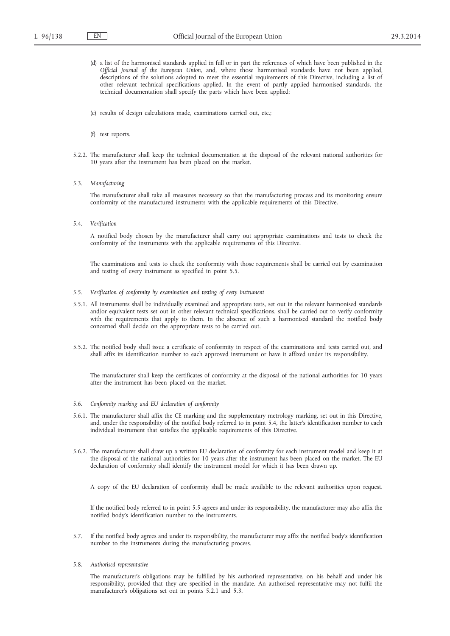- (d) a list of the harmonised standards applied in full or in part the references of which have been published in the *Official Journal of the European Union*, and, where those harmonised standards have not been applied, descriptions of the solutions adopted to meet the essential requirements of this Directive, including a list of other relevant technical specifications applied. In the event of partly applied harmonised standards, the technical documentation shall specify the parts which have been applied;
- (e) results of design calculations made, examinations carried out, etc.;
- (f) test reports.
- 5.2.2. The manufacturer shall keep the technical documentation at the disposal of the relevant national authorities for 10 years after the instrument has been placed on the market.
- 5.3. *Manufacturing*

The manufacturer shall take all measures necessary so that the manufacturing process and its monitoring ensure conformity of the manufactured instruments with the applicable requirements of this Directive.

5.4. *Verification*

A notified body chosen by the manufacturer shall carry out appropriate examinations and tests to check the conformity of the instruments with the applicable requirements of this Directive.

The examinations and tests to check the conformity with those requirements shall be carried out by examination and testing of every instrument as specified in point 5.5.

- 5.5. *Verification of conformity by examination and testing of every instrument*
- 5.5.1. All instruments shall be individually examined and appropriate tests, set out in the relevant harmonised standards and/or equivalent tests set out in other relevant technical specifications, shall be carried out to verify conformity with the requirements that apply to them. In the absence of such a harmonised standard the notified body concerned shall decide on the appropriate tests to be carried out.
- 5.5.2. The notified body shall issue a certificate of conformity in respect of the examinations and tests carried out, and shall affix its identification number to each approved instrument or have it affixed under its responsibility.

The manufacturer shall keep the certificates of conformity at the disposal of the national authorities for 10 years after the instrument has been placed on the market.

- 5.6. *Conformity marking and EU declaration of conformity*
- 5.6.1. The manufacturer shall affix the CE marking and the supplementary metrology marking, set out in this Directive, and, under the responsibility of the notified body referred to in point 5.4, the latter's identification number to each individual instrument that satisfies the applicable requirements of this Directive.
- 5.6.2. The manufacturer shall draw up a written EU declaration of conformity for each instrument model and keep it at the disposal of the national authorities for 10 years after the instrument has been placed on the market. The EU declaration of conformity shall identify the instrument model for which it has been drawn up.

A copy of the EU declaration of conformity shall be made available to the relevant authorities upon request.

If the notified body referred to in point 5.5 agrees and under its responsibility, the manufacturer may also affix the notified body's identification number to the instruments.

- 5.7. If the notified body agrees and under its responsibility, the manufacturer may affix the notified body's identification number to the instruments during the manufacturing process.
- 5.8. *Authorised representative*

The manufacturer's obligations may be fulfilled by his authorised representative, on his behalf and under his responsibility, provided that they are specified in the mandate. An authorised representative may not fulfil the manufacturer's obligations set out in points 5.2.1 and 5.3.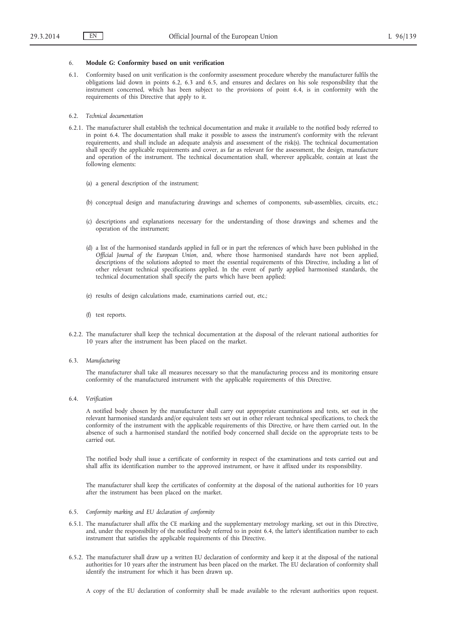## 6. **Module G: Conformity based on unit verification**

6.1. Conformity based on unit verification is the conformity assessment procedure whereby the manufacturer fulfils the obligations laid down in points 6.2, 6.3 and 6.5, and ensures and declares on his sole responsibility that the instrument concerned, which has been subject to the provisions of point 6.4, is in conformity with the requirements of this Directive that apply to it.

#### 6.2. *Technical documentation*

- 6.2.1. The manufacturer shall establish the technical documentation and make it available to the notified body referred to in point 6.4. The documentation shall make it possible to assess the instrument's conformity with the relevant requirements, and shall include an adequate analysis and assessment of the risk(s). The technical documentation shall specify the applicable requirements and cover, as far as relevant for the assessment, the design, manufacture and operation of the instrument. The technical documentation shall, wherever applicable, contain at least the following elements:
	- (a) a general description of the instrument;
	- (b) conceptual design and manufacturing drawings and schemes of components, sub-assemblies, circuits, etc.;
	- (c) descriptions and explanations necessary for the understanding of those drawings and schemes and the operation of the instrument;
	- (d) a list of the harmonised standards applied in full or in part the references of which have been published in the *Official Journal of the European Union*, and, where those harmonised standards have not been applied, descriptions of the solutions adopted to meet the essential requirements of this Directive, including a list of other relevant technical specifications applied. In the event of partly applied harmonised standards, the technical documentation shall specify the parts which have been applied;
	- (e) results of design calculations made, examinations carried out, etc.;
	- (f) test reports.
- 6.2.2. The manufacturer shall keep the technical documentation at the disposal of the relevant national authorities for 10 years after the instrument has been placed on the market.
- 6.3. *Manufacturing*

The manufacturer shall take all measures necessary so that the manufacturing process and its monitoring ensure conformity of the manufactured instrument with the applicable requirements of this Directive.

6.4. *Verification*

A notified body chosen by the manufacturer shall carry out appropriate examinations and tests, set out in the relevant harmonised standards and/or equivalent tests set out in other relevant technical specifications, to check the conformity of the instrument with the applicable requirements of this Directive, or have them carried out. In the absence of such a harmonised standard the notified body concerned shall decide on the appropriate tests to be carried out.

The notified body shall issue a certificate of conformity in respect of the examinations and tests carried out and shall affix its identification number to the approved instrument, or have it affixed under its responsibility.

The manufacturer shall keep the certificates of conformity at the disposal of the national authorities for 10 years after the instrument has been placed on the market.

- 6.5. *Conformity marking and EU declaration of conformity*
- 6.5.1. The manufacturer shall affix the CE marking and the supplementary metrology marking, set out in this Directive, and, under the responsibility of the notified body referred to in point 6.4, the latter's identification number to each instrument that satisfies the applicable requirements of this Directive.
- 6.5.2. The manufacturer shall draw up a written EU declaration of conformity and keep it at the disposal of the national authorities for 10 years after the instrument has been placed on the market. The EU declaration of conformity shall identify the instrument for which it has been drawn up.

A copy of the EU declaration of conformity shall be made available to the relevant authorities upon request.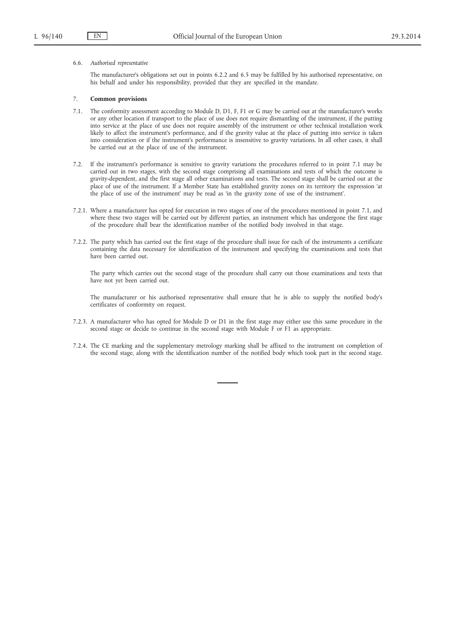#### 6.6. *Authorised representative*

The manufacturer's obligations set out in points 6.2.2 and 6.5 may be fulfilled by his authorised representative, on his behalf and under his responsibility, provided that they are specified in the mandate.

#### 7. **Common provisions**

- 7.1. The conformity assessment according to Module D, D1, F, F1 or G may be carried out at the manufacturer's works or any other location if transport to the place of use does not require dismantling of the instrument, if the putting into service at the place of use does not require assembly of the instrument or other technical installation work likely to affect the instrument's performance, and if the gravity value at the place of putting into service is taken into consideration or if the instrument's performance is insensitive to gravity variations. In all other cases, it shall be carried out at the place of use of the instrument.
- 7.2. If the instrument's performance is sensitive to gravity variations the procedures referred to in point 7.1 may be carried out in two stages, with the second stage comprising all examinations and tests of which the outcome is gravity-dependent, and the first stage all other examinations and tests. The second stage shall be carried out at the place of use of the instrument. If a Member State has established gravity zones on its territory the expression 'at the place of use of the instrument' may be read as 'in the gravity zone of use of the instrument'.
- 7.2.1. Where a manufacturer has opted for execution in two stages of one of the procedures mentioned in point 7.1, and where these two stages will be carried out by different parties, an instrument which has undergone the first stage of the procedure shall bear the identification number of the notified body involved in that stage.
- 7.2.2. The party which has carried out the first stage of the procedure shall issue for each of the instruments a certificate containing the data necessary for identification of the instrument and specifying the examinations and tests that have been carried out.

The party which carries out the second stage of the procedure shall carry out those examinations and tests that have not yet been carried out.

The manufacturer or his authorised representative shall ensure that he is able to supply the notified body's certificates of conformity on request.

- 7.2.3. A manufacturer who has opted for Module D or D1 in the first stage may either use this same procedure in the second stage or decide to continue in the second stage with Module F or F1 as appropriate.
- 7.2.4. The CE marking and the supplementary metrology marking shall be affixed to the instrument on completion of the second stage, along with the identification number of the notified body which took part in the second stage.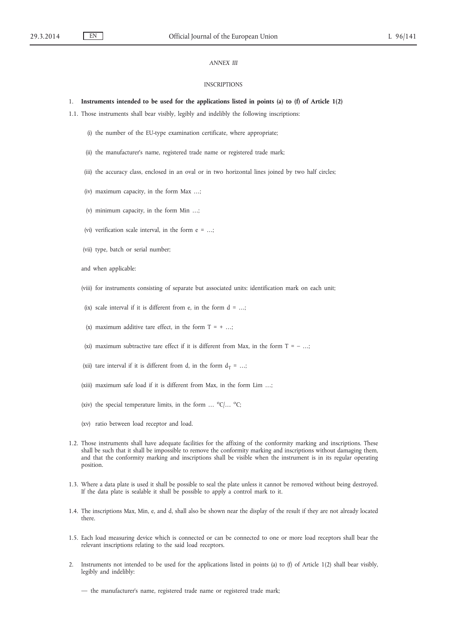## *ANNEX III*

#### INSCRIPTIONS

#### 1. **Instruments intended to be used for the applications listed in points (a) to (f) of Article 1(2)**

- 1.1. Those instruments shall bear visibly, legibly and indelibly the following inscriptions:
	- (i) the number of the EU-type examination certificate, where appropriate;
	- (ii) the manufacturer's name, registered trade name or registered trade mark;
	- (iii) the accuracy class, enclosed in an oval or in two horizontal lines joined by two half circles;
	- (iv) maximum capacity, in the form Max …;
	- (v) minimum capacity, in the form Min …;
	- (vi) verification scale interval, in the form e = …;
	- (vii) type, batch or serial number;
	- and when applicable:
	- (viii) for instruments consisting of separate but associated units: identification mark on each unit;
	- (ix) scale interval if it is different from e, in the form  $d = ...$ ;
	- (x) maximum additive tare effect, in the form  $T = +$  ...;
	- (xi) maximum subtractive tare effect if it is different from Max, in the form  $T = -$  ...;
	- (xii) tare interval if it is different from d, in the form  $d_T = ...$ ;
	- (xiii) maximum safe load if it is different from Max, in the form Lim …;
	- (xiv) the special temperature limits, in the form ...  $^{\circ}C$ /...  $^{\circ}C$ ;
	- (xv) ratio between load receptor and load.
- 1.2. Those instruments shall have adequate facilities for the affixing of the conformity marking and inscriptions. These shall be such that it shall be impossible to remove the conformity marking and inscriptions without damaging them, and that the conformity marking and inscriptions shall be visible when the instrument is in its regular operating position.
- 1.3. Where a data plate is used it shall be possible to seal the plate unless it cannot be removed without being destroyed. If the data plate is sealable it shall be possible to apply a control mark to it.
- 1.4. The inscriptions Max, Min, e, and d, shall also be shown near the display of the result if they are not already located there.
- 1.5. Each load measuring device which is connected or can be connected to one or more load receptors shall bear the relevant inscriptions relating to the said load receptors.
- 2. Instruments not intended to be used for the applications listed in points (a) to (f) of Article 1(2) shall bear visibly, legibly and indelibly:
	- the manufacturer's name, registered trade name or registered trade mark;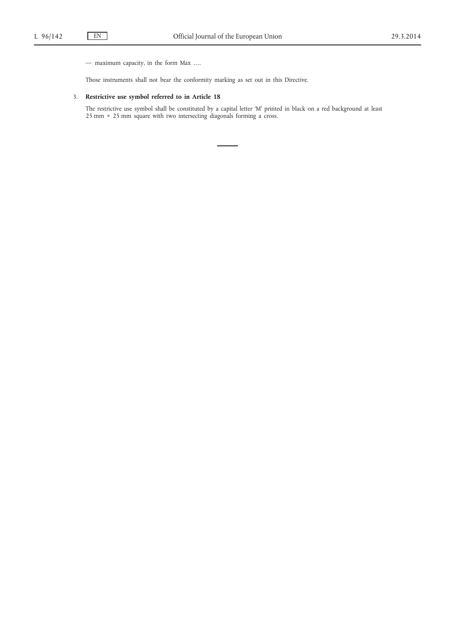— maximum capacity, in the form Max ….

Those instruments shall not bear the conformity marking as set out in this Directive.

## 3. **Restrictive use symbol referred to in Article 18**

The restrictive use symbol shall be constituted by a capital letter 'M' printed in black on a red background at least 25 mm × 25 mm square with two intersecting diagonals forming a cross.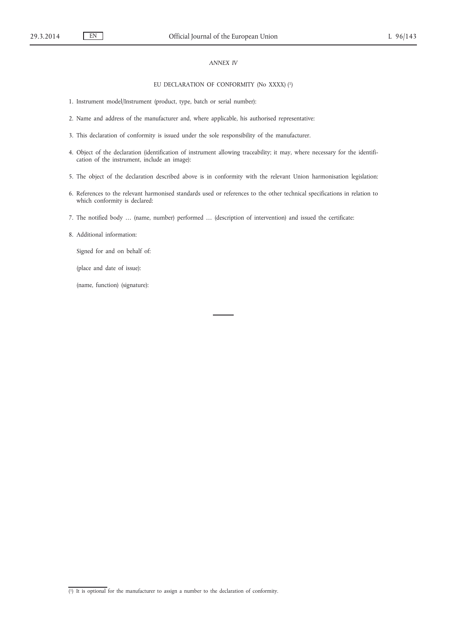# *ANNEX IV*

### EU DECLARATION OF CONFORMITY (No XXXX) (1)

- 1. Instrument model/Instrument (product, type, batch or serial number):
- 2. Name and address of the manufacturer and, where applicable, his authorised representative:
- 3. This declaration of conformity is issued under the sole responsibility of the manufacturer.
- 4. Object of the declaration (identification of instrument allowing traceability; it may, where necessary for the identification of the instrument, include an image):
- 5. The object of the declaration described above is in conformity with the relevant Union harmonisation legislation:
- 6. References to the relevant harmonised standards used or references to the other technical specifications in relation to which conformity is declared:
- 7. The notified body … (name, number) performed … (description of intervention) and issued the certificate:

### 8. Additional information:

Signed for and on behalf of:

(place and date of issue):

(name, function) (signature):

<sup>(</sup> 1) It is optional for the manufacturer to assign a number to the declaration of conformity.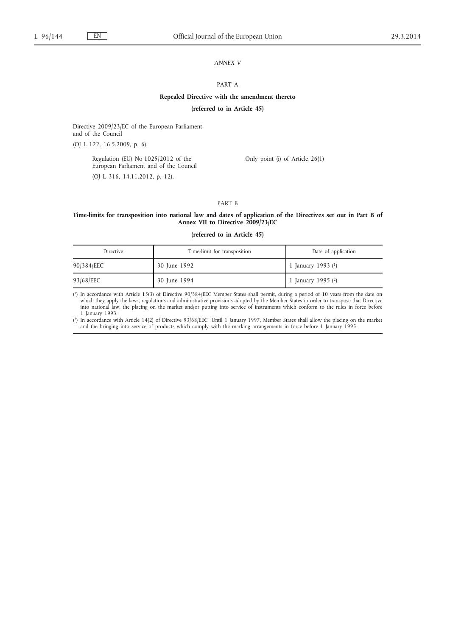# *ANNEX V*

### PART A

### **Repealed Directive with the amendment thereto**

## **(referred to in Article 45)**

Directive 2009/23/EC of the European Parliament and of the Council

(OJ L 122, 16.5.2009, p. 6).

Regulation (EU) No 1025/2012 of the European Parliament and of the Council (OJ L 316, 14.11.2012, p. 12).

Only point (i) of Article 26(1)

### PART B

#### **Time-limits for transposition into national law and dates of application of the Directives set out in Part B of Annex VII to Directive 2009/23/EC**

### **(referred to in Article 45)**

| Directive  | Time-limit for transposition | Date of application  |
|------------|------------------------------|----------------------|
| 90/384/EEC | 30 June 1992                 | 1 January 1993 $(1)$ |
| 93/68/EEC  | 30 June 1994                 | 1 January 1995 $(2)$ |

( 1) In accordance with Article 15(3) of Directive 90/384/EEC Member States shall permit, during a period of 10 years from the date on which they apply the laws, regulations and administrative provisions adopted by the Member States in order to transpose that Directive into national law, the placing on the market and/or putting into service of instruments which conform to the rules in force before 1 January 1993.

( 2) In accordance with Article 14(2) of Directive 93/68/EEC: 'Until 1 January 1997, Member States shall allow the placing on the market and the bringing into service of products which comply with the marking arrangements in force before 1 January 1995.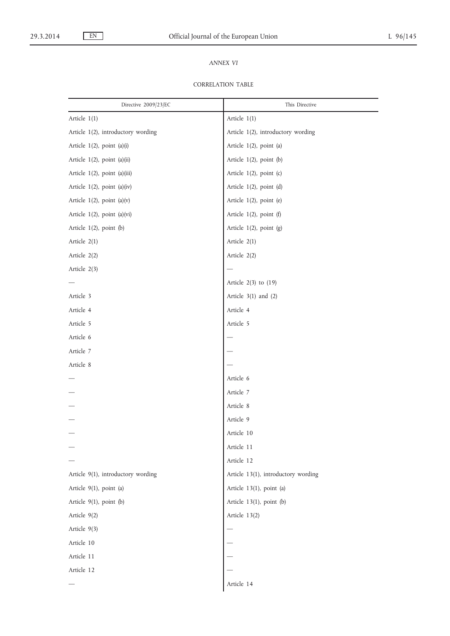# *ANNEX VI*

# CORRELATION TABLE

| Directive 2009/23/EC               | This Directive                      |
|------------------------------------|-------------------------------------|
| Article 1(1)                       | Article 1(1)                        |
| Article 1(2), introductory wording | Article 1(2), introductory wording  |
| Article 1(2), point (a)(i)         | Article 1(2), point (a)             |
| Article 1(2), point (a)(ii)        | Article 1(2), point (b)             |
| Article 1(2), point (a)(iii)       | Article 1(2), point (c)             |
| Article 1(2), point (a)(iv)        | Article $1(2)$ , point $(d)$        |
| Article $1(2)$ , point $(a)(v)$    | Article 1(2), point (e)             |
| Article 1(2), point (a)(vi)        | Article $1(2)$ , point (f)          |
| Article $1(2)$ , point $(b)$       | Article 1(2), point (g)             |
| Article 2(1)                       | Article 2(1)                        |
| Article 2(2)                       | Article 2(2)                        |
| Article 2(3)                       |                                     |
|                                    | Article $2(3)$ to $(19)$            |
| Article 3                          | Article $3(1)$ and $(2)$            |
| Article 4                          | Article 4                           |
| Article 5                          | Article 5                           |
| Article 6                          |                                     |
| Article 7                          |                                     |
| Article 8                          |                                     |
|                                    | Article 6                           |
|                                    | Article 7                           |
|                                    | Article 8                           |
|                                    | Article 9                           |
|                                    | Article 10                          |
|                                    | Article 11                          |
|                                    | Article 12                          |
| Article 9(1), introductory wording | Article 13(1), introductory wording |
| Article 9(1), point (a)            | Article 13(1), point (a)            |
| Article 9(1), point (b)            | Article 13(1), point (b)            |
| Article 9(2)                       | Article 13(2)                       |
| Article 9(3)                       |                                     |
| Article 10                         |                                     |
| Article 11                         |                                     |
| Article 12                         |                                     |
|                                    | Article 14                          |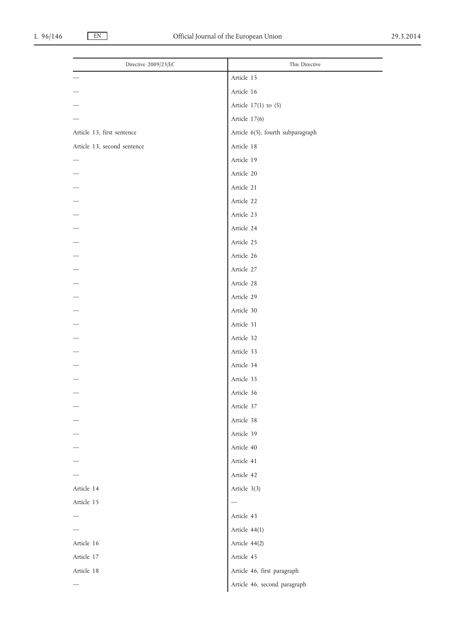| Directive 2009/23/EC        | This Directive                    |
|-----------------------------|-----------------------------------|
|                             | Article 15                        |
|                             | Article 16                        |
|                             | Article $17(1)$ to $(5)$          |
|                             | Article 17(6)                     |
| Article 13, first sentence  | Article 6(5), fourth subparagraph |
| Article 13, second sentence | Article 18                        |
|                             | Article 19                        |
|                             | Article 20                        |
|                             | Article 21                        |
|                             | Article 22                        |
|                             | Article 23                        |
|                             | Article 24                        |
|                             | Article 25                        |
|                             | Article 26                        |
|                             | Article 27                        |
|                             | Article 28                        |
|                             | Article 29                        |
|                             | Article 30                        |
|                             | Article 31                        |
|                             | Article 32                        |
|                             | Article 33                        |
|                             | Article 34                        |
|                             | Article 35                        |
|                             | Article 36                        |
|                             | Article 37                        |
|                             | Article 38                        |
|                             | Article 39                        |
|                             | Article 40                        |
|                             | Article 41                        |
|                             | Article 42                        |
| Article 14                  | Article 3(3)                      |
| Article 15                  | $\overline{\phantom{0}}$          |
|                             | Article 43                        |
|                             | Article 44(1)                     |
| Article 16                  | Article 44(2)                     |
| Article 17                  | Article 45                        |
| Article 18                  | Article 46, first paragraph       |
|                             | Article 46, second paragraph      |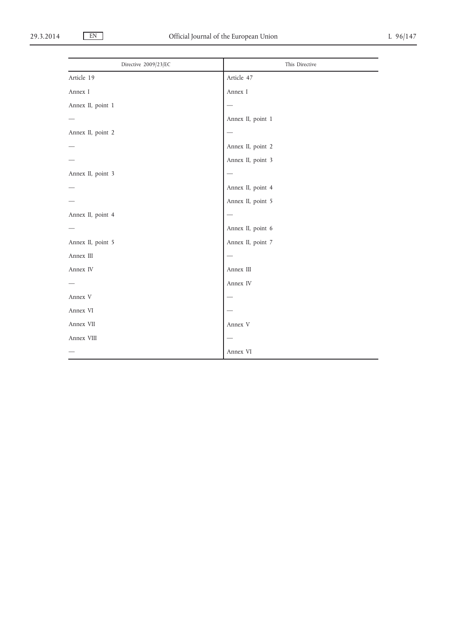| Directive 2009/23/EC | This Directive    |
|----------------------|-------------------|
| Article 19           | Article 47        |
| Annex I              | Annex I           |
| Annex II, point 1    |                   |
|                      | Annex II, point 1 |
| Annex II, point 2    |                   |
|                      | Annex II, point 2 |
|                      | Annex II, point 3 |
| Annex II, point 3    |                   |
|                      | Annex II, point 4 |
|                      | Annex II, point 5 |
| Annex II, point 4    |                   |
|                      | Annex II, point 6 |
| Annex II, point 5    | Annex II, point 7 |
| Annex III            |                   |
| Annex IV             | Annex III         |
|                      | Annex IV          |
| Annex V              |                   |
| Annex VI             |                   |
| Annex VII            | Annex V           |
| Annex VIII           |                   |
|                      | Annex VI          |